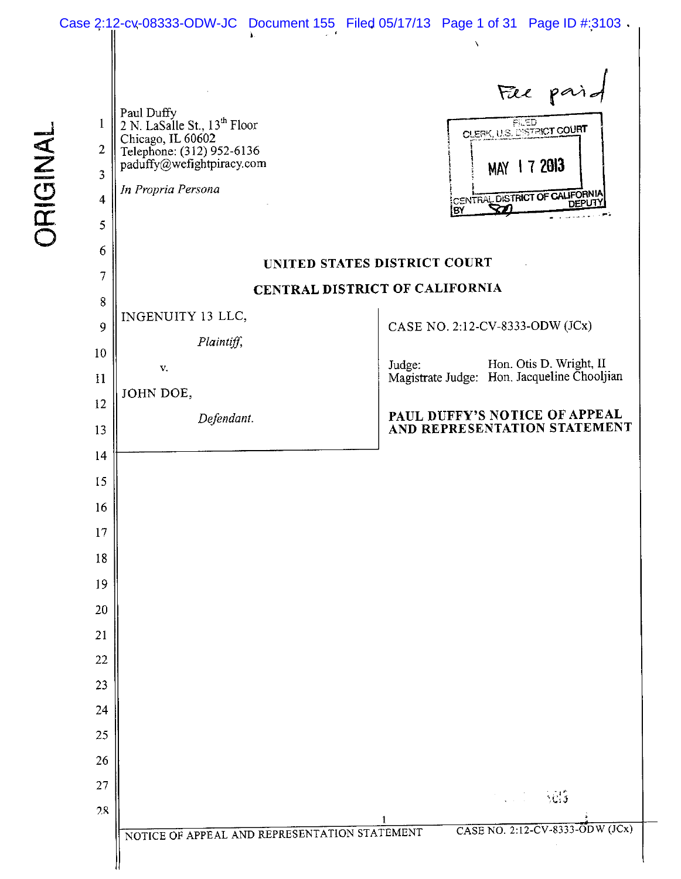DRIGINAL

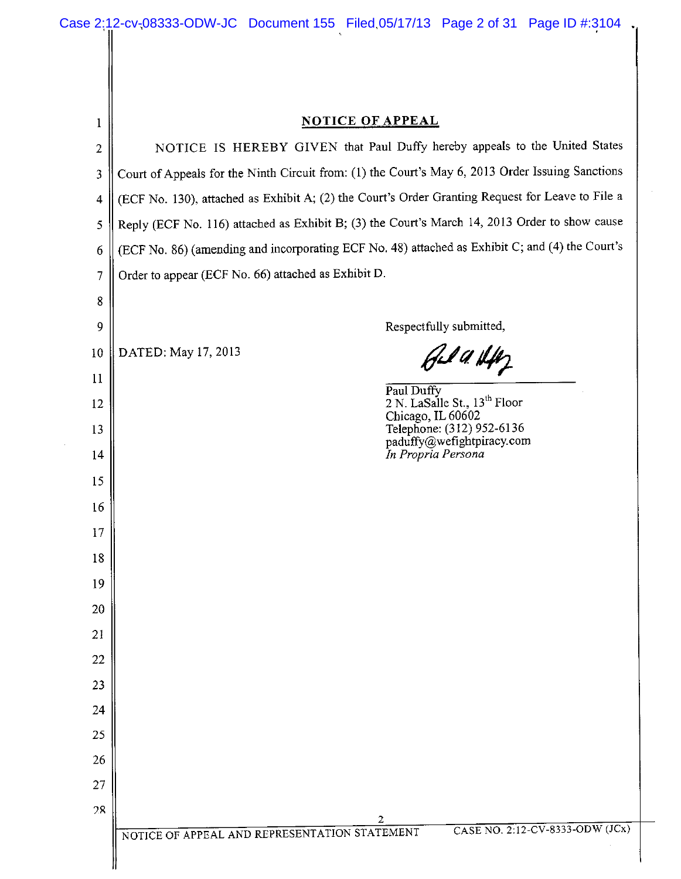$\parallel$ 

| $\mathbf{1}$            | <b>NOTICE OF APPEAL</b>                                                                          |  |  |  |  |
|-------------------------|--------------------------------------------------------------------------------------------------|--|--|--|--|
| $\overline{2}$          | NOTICE IS HEREBY GIVEN that Paul Duffy hereby appeals to the United States                       |  |  |  |  |
| 3                       | Court of Appeals for the Ninth Circuit from: (1) the Court's May 6, 2013 Order Issuing Sanctions |  |  |  |  |
| $\overline{\mathbf{4}}$ | (ECF No. 130), attached as Exhibit A; (2) the Court's Order Granting Request for Leave to File a |  |  |  |  |
| 5                       | Reply (ECF No. 116) attached as Exhibit B; (3) the Court's March 14, 2013 Order to show cause    |  |  |  |  |
| 6                       | (ECF No. 86) (amending and incorporating ECF No. 48) attached as Exhibit C; and (4) the Court's  |  |  |  |  |
| 7                       | Order to appear (ECF No. 66) attached as Exhibit D.                                              |  |  |  |  |
| 8                       |                                                                                                  |  |  |  |  |
| 9                       | Respectfully submitted,                                                                          |  |  |  |  |
| 10                      | DATED: May 17, 2013<br>Bela HAZ                                                                  |  |  |  |  |
| 11                      | Paul Duffy                                                                                       |  |  |  |  |
| 12                      | 2 N. LaSalle St., 13 <sup>th</sup> Floor<br>Chicago, IL 60602                                    |  |  |  |  |
| 13                      | Telephone: (312) 952-6136<br>paduffy@wefightpiracy.com                                           |  |  |  |  |
| 14                      | In Propria Persona                                                                               |  |  |  |  |
| 15                      |                                                                                                  |  |  |  |  |
| 16                      |                                                                                                  |  |  |  |  |
| 17                      |                                                                                                  |  |  |  |  |
| 18                      |                                                                                                  |  |  |  |  |
| 19                      |                                                                                                  |  |  |  |  |
| 20                      |                                                                                                  |  |  |  |  |
| 21                      |                                                                                                  |  |  |  |  |
| 22                      |                                                                                                  |  |  |  |  |
| 23                      |                                                                                                  |  |  |  |  |
| 24                      |                                                                                                  |  |  |  |  |
| 25                      |                                                                                                  |  |  |  |  |
| 26                      |                                                                                                  |  |  |  |  |
| 27                      |                                                                                                  |  |  |  |  |
| 28                      | 2<br>CASE NO. 2:12-CV-8333-ODW (JCx)                                                             |  |  |  |  |
|                         | NOTICE OF APPEAL AND REPRESENTATION STATEMENT                                                    |  |  |  |  |
|                         |                                                                                                  |  |  |  |  |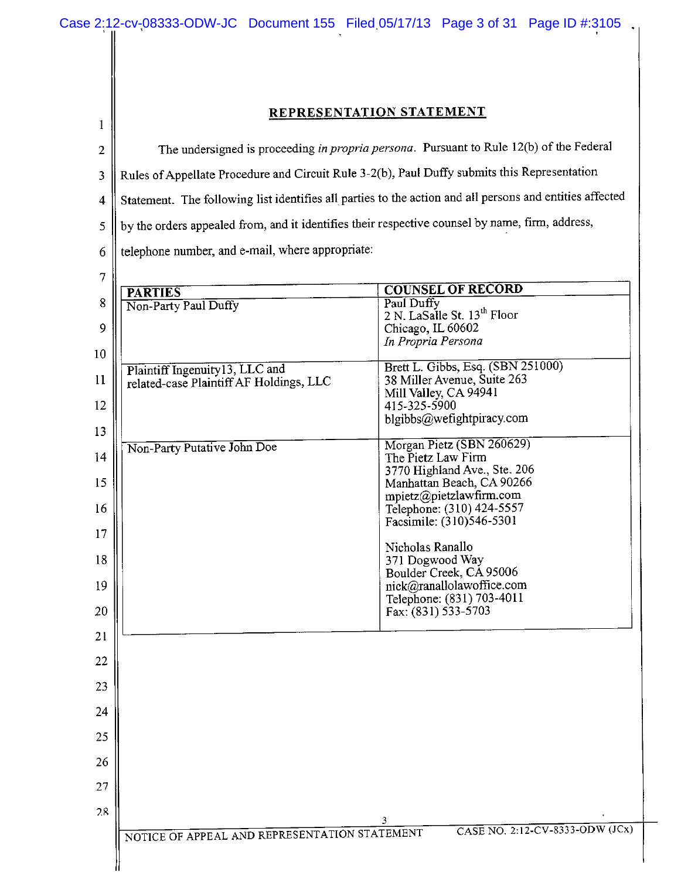### REPRESENTATION STATEMENT

| 1              |                                                                                                          |                                                                                                 |  |  |  |
|----------------|----------------------------------------------------------------------------------------------------------|-------------------------------------------------------------------------------------------------|--|--|--|
| 2              | The undersigned is proceeding in propria persona. Pursuant to Rule 12(b) of the Federal                  |                                                                                                 |  |  |  |
| 3              | Rules of Appellate Procedure and Circuit Rule 3-2(b), Paul Duffy submits this Representation             |                                                                                                 |  |  |  |
| 4              | Statement. The following list identifies all parties to the action and all persons and entities affected |                                                                                                 |  |  |  |
| 5              |                                                                                                          | by the orders appealed from, and it identifies their respective counsel by name, firm, address, |  |  |  |
| 6              | telephone number, and e-mail, where appropriate:                                                         |                                                                                                 |  |  |  |
| $\overline{7}$ |                                                                                                          |                                                                                                 |  |  |  |
| 8              | <b>PARTIES</b><br>Non-Party Paul Duffy                                                                   | <b>COUNSEL OF RECORD</b><br>Paul Duffy                                                          |  |  |  |
| 9              |                                                                                                          | 2 N. LaSalle St. 13 <sup>th</sup> Floor<br>Chicago, IL 60602<br>In Propria Persona              |  |  |  |
| 10             | Plaintiff Ingenuity13, LLC and                                                                           | Brett L. Gibbs, Esq. (SBN 251000)                                                               |  |  |  |
| 11<br>12       | related-case Plaintiff AF Holdings, LLC                                                                  | 38 Miller Avenue, Suite 263<br>Mill Valley, CA 94941<br>415-325-5900                            |  |  |  |
|                |                                                                                                          | blgibbs@wefightpiracy.com                                                                       |  |  |  |
| 13<br>14       | Non-Party Putative John Doe                                                                              | Morgan Pietz (SBN 260629)<br>The Pietz Law Firm                                                 |  |  |  |
| 15             |                                                                                                          | 3770 Highland Ave., Ste. 206<br>Manhattan Beach, CA 90266<br>mpietz@pietzlawfirm.com            |  |  |  |
| 16             |                                                                                                          | Telephone: (310) 424-5557<br>Facsimile: (310)546-5301                                           |  |  |  |
| 17<br>18       |                                                                                                          | Nicholas Ranallo<br>371 Dogwood Way                                                             |  |  |  |
|                |                                                                                                          | Boulder Creek, CA 95006<br>nick@ranallolawoffice.com                                            |  |  |  |
| 19<br>20       |                                                                                                          | Telephone: (831) 703-4011<br>Fax: (831) 533-5703                                                |  |  |  |
| 21             |                                                                                                          |                                                                                                 |  |  |  |
| 22             |                                                                                                          |                                                                                                 |  |  |  |
| 23             |                                                                                                          |                                                                                                 |  |  |  |
| 24             |                                                                                                          |                                                                                                 |  |  |  |
| 25             |                                                                                                          |                                                                                                 |  |  |  |
| 26             |                                                                                                          |                                                                                                 |  |  |  |
| 27             |                                                                                                          |                                                                                                 |  |  |  |
| 28             |                                                                                                          |                                                                                                 |  |  |  |
|                | NOTICE OF APPEAL AND REPRESENTATION STATEMENT                                                            | 3<br>CASE NO. 2:12-CV-8333-ODW (JCx)                                                            |  |  |  |
|                |                                                                                                          |                                                                                                 |  |  |  |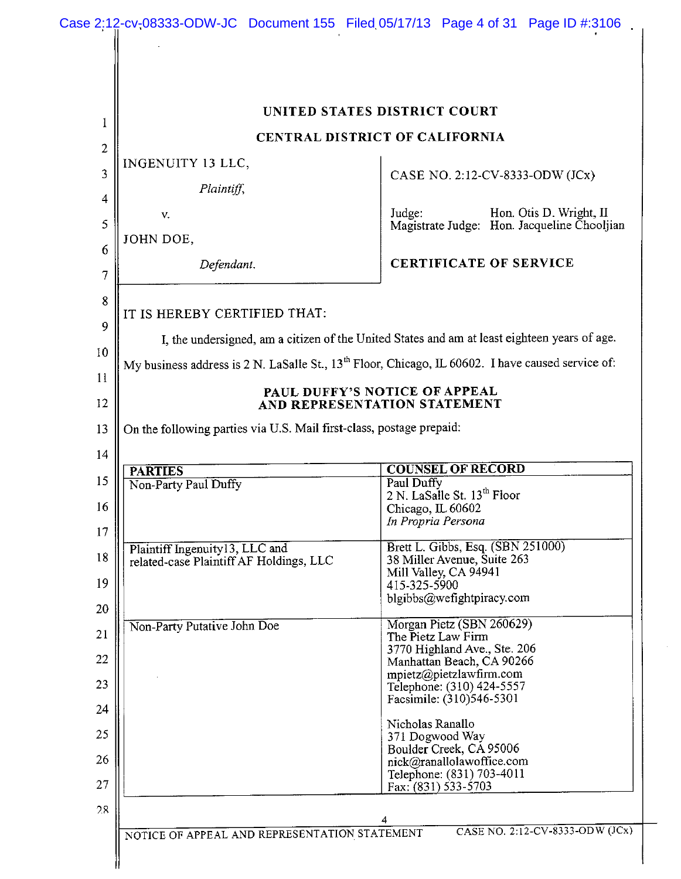|                                                                      | UNITED STATES DISTRICT COURT                                                                                  |  |  |
|----------------------------------------------------------------------|---------------------------------------------------------------------------------------------------------------|--|--|
|                                                                      | CENTRAL DISTRICT OF CALIFORNIA                                                                                |  |  |
|                                                                      |                                                                                                               |  |  |
| INGENUITY 13 LLC,                                                    | CASE NO. 2:12-CV-8333-ODW (JCx)                                                                               |  |  |
| Plaintiff,                                                           |                                                                                                               |  |  |
| V.                                                                   | Hon. Otis D. Wright, II<br>Judge:<br>Magistrate Judge: Hon. Jacqueline Chooljian                              |  |  |
| JOHN DOE,                                                            |                                                                                                               |  |  |
| Defendant.                                                           | <b>CERTIFICATE OF SERVICE</b>                                                                                 |  |  |
| IT IS HEREBY CERTIFIED THAT:                                         |                                                                                                               |  |  |
|                                                                      | I, the undersigned, am a citizen of the United States and am at least eighteen years of age.                  |  |  |
|                                                                      | My business address is 2 N. LaSalle St., 13 <sup>th</sup> Floor, Chicago, IL 60602. I have caused service of: |  |  |
|                                                                      | PAUL DUFFY'S NOTICE OF APPEAL                                                                                 |  |  |
|                                                                      | AND REPRESENTATION STATEMENT                                                                                  |  |  |
| On the following parties via U.S. Mail first-class, postage prepaid: |                                                                                                               |  |  |
|                                                                      |                                                                                                               |  |  |
| <b>PARTIES</b>                                                       | <b>COUNSEL OF RECORD</b>                                                                                      |  |  |
| Non-Party Paul Duffy                                                 | Paul Duffy<br>2 N. LaSalle St. 13 <sup>th</sup> Floor                                                         |  |  |
|                                                                      | Chicago, IL 60602<br>In Propria Persona                                                                       |  |  |
|                                                                      |                                                                                                               |  |  |
|                                                                      |                                                                                                               |  |  |
| Plaintiff Ingenuity13, LLC and                                       | Brett L. Gibbs, Esq. (SBN 251000)<br>38 Miller Avenue, Suite 263                                              |  |  |
| related-case Plaintiff AF Holdings, LLC                              | Mill Valley, CA 94941                                                                                         |  |  |
|                                                                      | 415-325-5900<br>blgibbs@wefightpiracy.com                                                                     |  |  |
|                                                                      | Morgan Pietz (SBN 260629)                                                                                     |  |  |
| Non-Party Putative John Doe                                          | The Pietz Law Firm                                                                                            |  |  |
|                                                                      | 3770 Highland Ave., Ste. 206<br>Manhattan Beach, CA 90266                                                     |  |  |
|                                                                      | mpietz@pietzlawfirm.com                                                                                       |  |  |
|                                                                      | Telephone: (310) 424-5557<br>Facsimile: (310)546-5301                                                         |  |  |
|                                                                      | Nicholas Ranallo                                                                                              |  |  |
|                                                                      | 371 Dogwood Way                                                                                               |  |  |
|                                                                      | Boulder Creek, CA 95006<br>nick@ranallolawoffice.com                                                          |  |  |
|                                                                      | Telephone: (831) 703-4011<br>Fax: (831) 533-5703                                                              |  |  |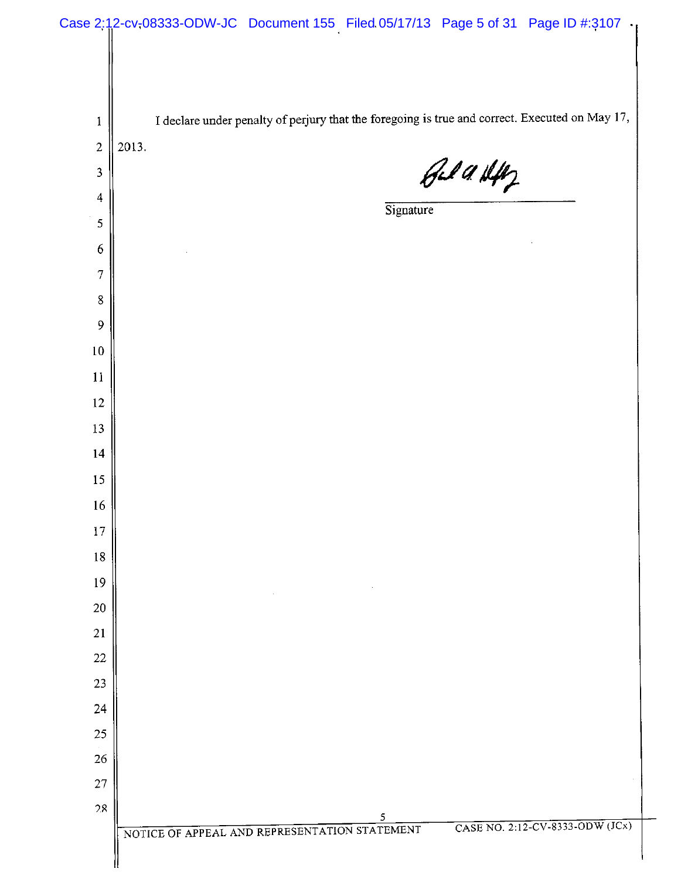|                  | Case 2:12-cv-08333-ODW-JC Document 155 Filed 05/17/13 Page 5 of 31 Page ID #:3107              |
|------------------|------------------------------------------------------------------------------------------------|
|                  |                                                                                                |
| 1                | I declare under penalty of perjury that the foregoing is true and correct. Executed on May 17, |
| $\overline{c}$   | 2013.                                                                                          |
| $\mathfrak{Z}$   | Bela HAZ                                                                                       |
| $\overline{4}$   |                                                                                                |
| 5                | Signature                                                                                      |
| $\boldsymbol{6}$ |                                                                                                |
| 7                |                                                                                                |
| $8\,$            |                                                                                                |
| 9                |                                                                                                |
| 10 <sub>1</sub>  |                                                                                                |
| 11               |                                                                                                |
| 12               |                                                                                                |
| 13               |                                                                                                |
| 14               |                                                                                                |
| 15               |                                                                                                |
| 16               |                                                                                                |
| 17               |                                                                                                |
| 18               |                                                                                                |
| 19               |                                                                                                |
| 20               |                                                                                                |
| 21               |                                                                                                |
| 22               |                                                                                                |
| 23               |                                                                                                |
| 24               |                                                                                                |
| 25               |                                                                                                |
| 26               |                                                                                                |
| 27               |                                                                                                |
| 28               | 5<br>CASE NO. 2:12-CV-8333-ODW (JCx)<br>NOTICE OF APPEAL AND REPRESENTATION STATEMENT          |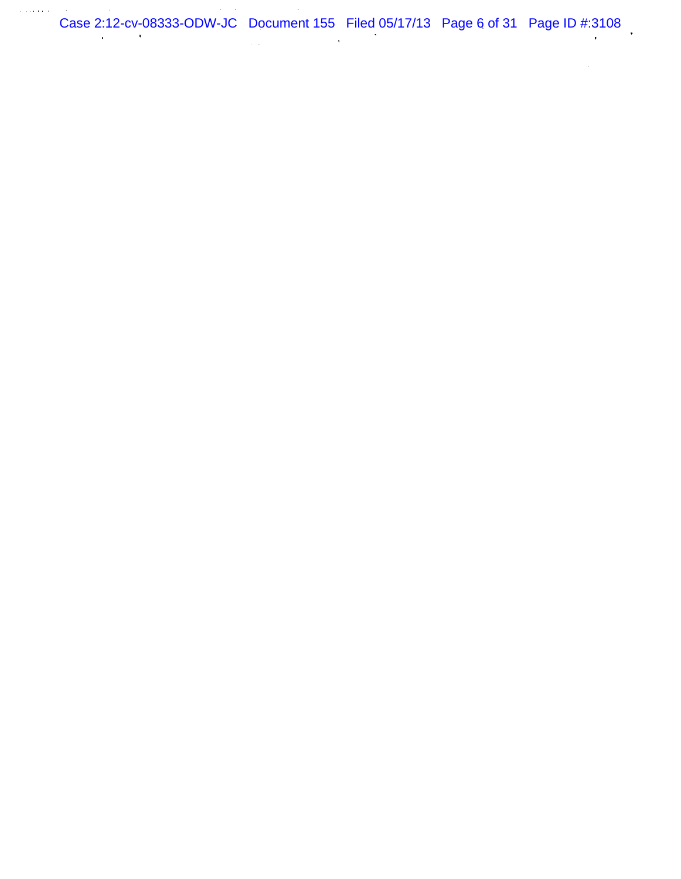$\frac{1}{2} \frac{1}{2} \frac{1}{2} \frac{1}{2} \frac{1}{2} \frac{1}{2}$  $\hat{p}$  , is a set of  $\hat{p}$ Case 2:12-cv-08333-ODW-JC Document 155 Filed 05/17/13 Page 6 of 31 Page ID #:3108

 $\sim 10$ 

**Contract** 

 $\sim$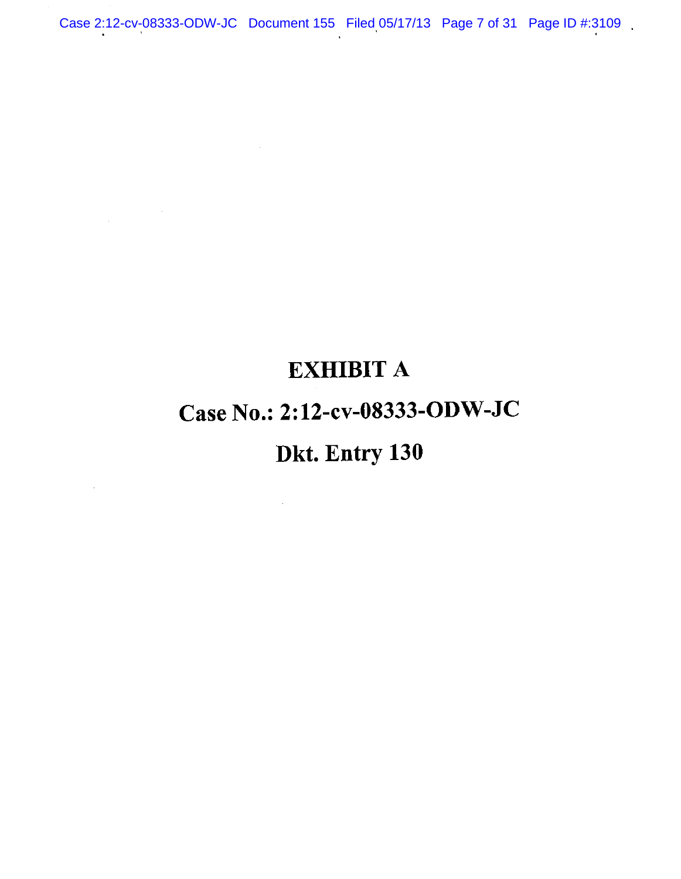Case 2:12-cv-08333-ODW-JC Document 155 Filed 05/17/13 Page 7 of 31 Page ID #:3109

## **EXHIBIT A**

## Case No.: 2:12-cv-08333-ODW-JC

### Dkt. Entry 130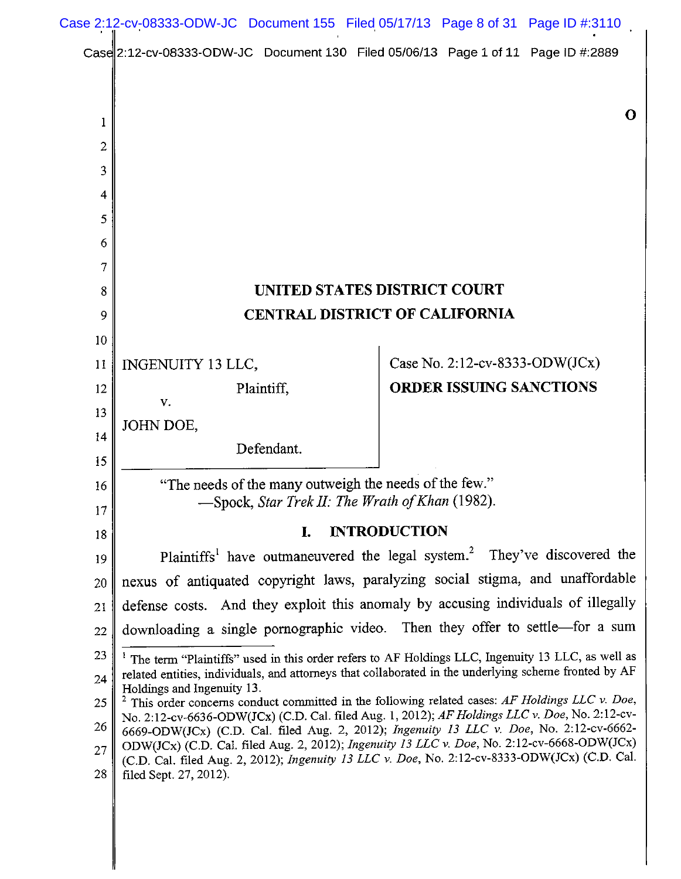|          | Case 2:12-cv-08333-ODW-JC Document 155 Filed 05/17/13 Page 8 of 31 Page ID #:3110                                                                                                            |                     |                                |   |
|----------|----------------------------------------------------------------------------------------------------------------------------------------------------------------------------------------------|---------------------|--------------------------------|---|
|          | Case 2:12-cv-08333-ODW-JC Document 130 Filed 05/06/13 Page 1 of 11 Page ID #:2889                                                                                                            |                     |                                |   |
|          |                                                                                                                                                                                              |                     |                                |   |
| 1        |                                                                                                                                                                                              |                     |                                | O |
| 2        |                                                                                                                                                                                              |                     |                                |   |
| 3        |                                                                                                                                                                                              |                     |                                |   |
| 4        |                                                                                                                                                                                              |                     |                                |   |
| 5        |                                                                                                                                                                                              |                     |                                |   |
| 6        |                                                                                                                                                                                              |                     |                                |   |
| 7        |                                                                                                                                                                                              |                     |                                |   |
| 8        | UNITED STATES DISTRICT COURT                                                                                                                                                                 |                     |                                |   |
| 9        | <b>CENTRAL DISTRICT OF CALIFORNIA</b>                                                                                                                                                        |                     |                                |   |
| 10       |                                                                                                                                                                                              |                     |                                |   |
| 11       | INGENUITY 13 LLC,                                                                                                                                                                            |                     | Case No. 2:12-cv-8333-ODW(JCx) |   |
| 12       | Plaintiff,<br>V.                                                                                                                                                                             |                     | <b>ORDER ISSUING SANCTIONS</b> |   |
| 13       | JOHN DOE,                                                                                                                                                                                    |                     |                                |   |
| 14       | Defendant.                                                                                                                                                                                   |                     |                                |   |
| 15       |                                                                                                                                                                                              |                     |                                |   |
| 16<br>17 | "The needs of the many outweigh the needs of the few."<br>-Spock, Star Trek II: The Wrath of Khan (1982).                                                                                    |                     |                                |   |
| 18       | I.                                                                                                                                                                                           | <b>INTRODUCTION</b> |                                |   |
| 19       | Plaintiffs <sup>1</sup> have outmaneuvered the legal system. <sup>2</sup> They've discovered the                                                                                             |                     |                                |   |
| 20       | nexus of antiquated copyright laws, paralyzing social stigma, and unaffordable                                                                                                               |                     |                                |   |
| 21       | defense costs. And they exploit this anomaly by accusing individuals of illegally                                                                                                            |                     |                                |   |
| 22       | downloading a single pornographic video. Then they offer to settle-for a sum                                                                                                                 |                     |                                |   |
| 23       | <sup>1</sup> The term "Plaintiffs" used in this order refers to AF Holdings LLC, Ingenuity 13 LLC, as well as                                                                                |                     |                                |   |
| 24       | related entities, individuals, and attorneys that collaborated in the underlying scheme fronted by AF                                                                                        |                     |                                |   |
| 25       | Holdings and Ingenuity 13.<br>$2$ This order concerns conduct committed in the following related cases: AF Holdings LLC v. Doe,                                                              |                     |                                |   |
| 26       | No. 2:12-cv-6636-ODW(JCx) (C.D. Cal. filed Aug. 1, 2012); AF Holdings LLC v. Doe, No. 2:12-cv-<br>6669-ODW(JCx) (C.D. Cal. filed Aug. 2, 2012); Ingenuity 13 LLC v. Doe, No. 2:12-cv-6662-   |                     |                                |   |
| 27       | ODW(JCx) (C.D. Cal. filed Aug. 2, 2012); Ingenuity 13 LLC v. Doe, No. 2:12-cv-6668-ODW(JCx)<br>(C.D. Cal. filed Aug. 2, 2012); Ingenuity 13 LLC v. Doe, No. 2:12-cv-8333-ODW(JCx) (C.D. Cal. |                     |                                |   |
| 28       | filed Sept. 27, 2012).                                                                                                                                                                       |                     |                                |   |
|          |                                                                                                                                                                                              |                     |                                |   |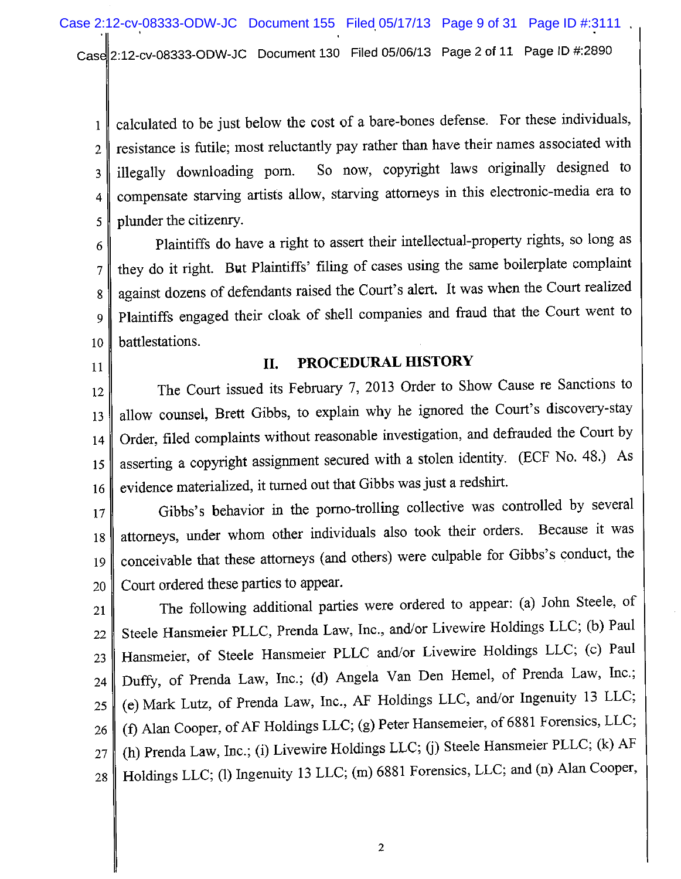calculated to be just below the cost of a bare-bones defense. For these individuals,  $\mathbf{1}$ resistance is futile; most reluctantly pay rather than have their names associated with  $\overline{2}$ So now, copyright laws originally designed to illegally downloading porn. 3 compensate starving artists allow, starving attorneys in this electronic-media era to 4 plunder the citizenry. 5

Plaintiffs do have a right to assert their intellectual-property rights, so long as 6 they do it right. But Plaintiffs' filing of cases using the same boilerplate complaint  $\overline{7}$ against dozens of defendants raised the Court's alert. It was when the Court realized 8 Plaintiffs engaged their cloak of shell companies and fraud that the Court went to  $\overline{Q}$ battlestations.  $10$ 

11

#### PROCEDURAL HISTORY II.

The Court issued its February 7, 2013 Order to Show Cause re Sanctions to  $12$ allow counsel, Brett Gibbs, to explain why he ignored the Court's discovery-stay 13 Order, filed complaints without reasonable investigation, and defrauded the Court by 14 asserting a copyright assignment secured with a stolen identity. (ECF No. 48.) As 15 evidence materialized, it turned out that Gibbs was just a redshirt. 16

Gibbs's behavior in the porno-trolling collective was controlled by several  $17$ attorneys, under whom other individuals also took their orders. Because it was 18 conceivable that these attorneys (and others) were culpable for Gibbs's conduct, the 19 Court ordered these parties to appear. 20

The following additional parties were ordered to appear: (a) John Steele, of 21 Steele Hansmeier PLLC, Prenda Law, Inc., and/or Livewire Holdings LLC; (b) Paul 22 Hansmeier, of Steele Hansmeier PLLC and/or Livewire Holdings LLC; (c) Paul 23 Duffy, of Prenda Law, Inc.; (d) Angela Van Den Hemel, of Prenda Law, Inc.; 24 (e) Mark Lutz, of Prenda Law, Inc., AF Holdings LLC, and/or Ingenuity 13 LLC; 25 (f) Alan Cooper, of AF Holdings LLC; (g) Peter Hansemeier, of 6881 Forensics, LLC; 26 (h) Prenda Law, Inc.; (i) Livewire Holdings LLC; (j) Steele Hansmeier PLLC; (k) AF 27 Holdings LLC; (l) Ingenuity 13 LLC; (m) 6881 Forensics, LLC; and (n) Alan Cooper, 28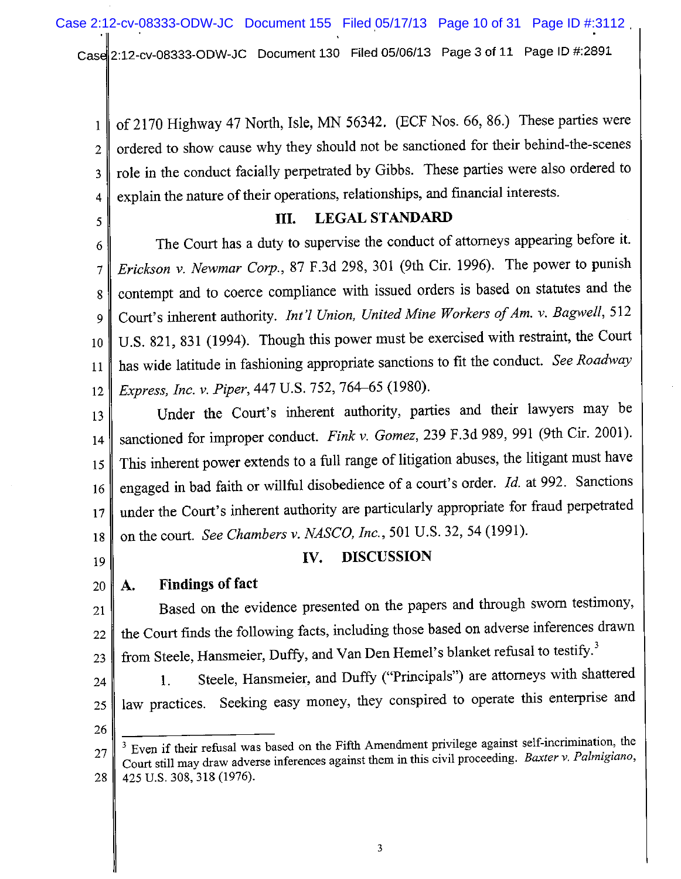of 2170 Highway 47 North, Isle, MN 56342. (ECF Nos. 66, 86.) These parties were  $\mathbf{1}$ ordered to show cause why they should not be sanctioned for their behind-the-scenes  $\overline{2}$ role in the conduct facially perpetrated by Gibbs. These parties were also ordered to 3 explain the nature of their operations, relationships, and financial interests. 4

5

#### III. **LEGAL STANDARD**

The Court has a duty to supervise the conduct of attorneys appearing before it. 6 Erickson v. Newmar Corp., 87 F.3d 298, 301 (9th Cir. 1996). The power to punish  $\overline{7}$ contempt and to coerce compliance with issued orders is based on statutes and the 8 Court's inherent authority. Int'l Union, United Mine Workers of Am. v. Bagwell, 512  $\mathsf Q$ U.S. 821, 831 (1994). Though this power must be exercised with restraint, the Court  $10$ has wide latitude in fashioning appropriate sanctions to fit the conduct. See Roadway 11 Express, Inc. v. Piper, 447 U.S. 752, 764-65 (1980).  $12$ 

Under the Court's inherent authority, parties and their lawyers may be 13 sanctioned for improper conduct. Fink v. Gomez, 239 F.3d 989, 991 (9th Cir. 2001). 14 This inherent power extends to a full range of litigation abuses, the litigant must have 15 engaged in bad faith or willful disobedience of a court's order. Id. at 992. Sanctions 16 under the Court's inherent authority are particularly appropriate for fraud perpetrated  $17$ on the court. See Chambers v. NASCO, Inc., 501 U.S. 32, 54 (1991). 18

19

#### **DISCUSSION** IV.

**Findings of fact** A. 20

Based on the evidence presented on the papers and through sworn testimony, 21 the Court finds the following facts, including those based on adverse inferences drawn 22 from Steele, Hansmeier, Duffy, and Van Den Hemel's blanket refusal to testify.<sup>3</sup> 23

- Steele, Hansmeier, and Duffy ("Principals") are attorneys with shattered  $1<sub>1</sub>$ 24 law practices. Seeking easy money, they conspired to operate this enterprise and 25
- 26

Even if their refusal was based on the Fifth Amendment privilege against self-incrimination, the 27 Court still may draw adverse inferences against them in this civil proceeding. Baxter v. Palmigiano, 425 U.S. 308, 318 (1976). 28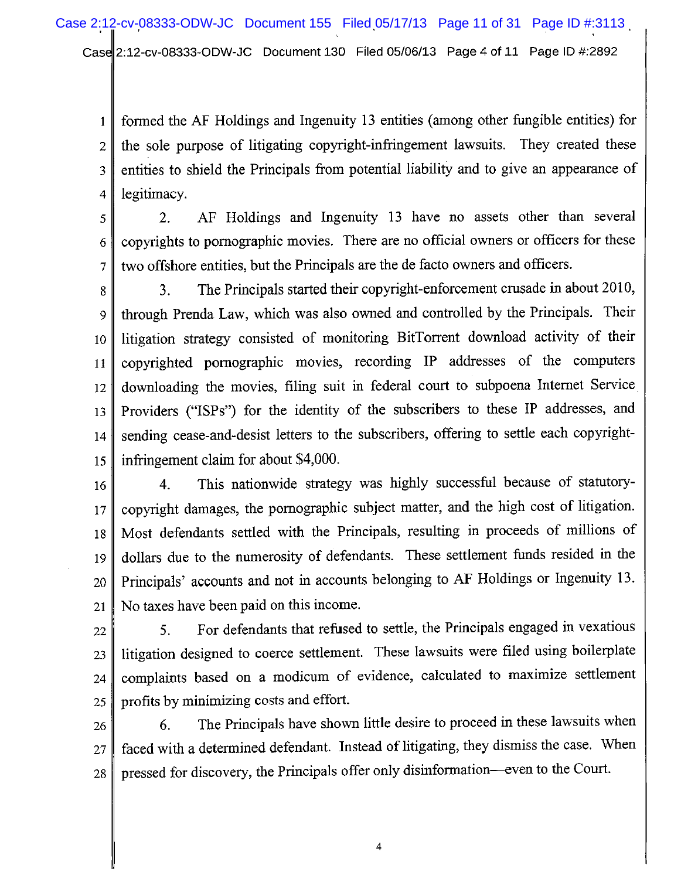Case 2:12-cv-08333-ODW-JC Document 130 Filed 05/06/13 Page 4 of 11 Page ID #:2892

formed the AF Holdings and Ingenuity 13 entities (among other fungible entities) for  $\mathbf{1}$ the sole purpose of litigating copyright-infringement lawsuits. They created these  $\overline{2}$ entities to shield the Principals from potential liability and to give an appearance of 3 legitimacy.  $\overline{4}$ 

AF Holdings and Ingenuity 13 have no assets other than several  $\overline{2}$ . 5 copyrights to pornographic movies. There are no official owners or officers for these 6 two offshore entities, but the Principals are the de facto owners and officers.  $\overline{7}$ 

The Principals started their copyright-enforcement crusade in about 2010,  $3<sub>1</sub>$ 8 through Prenda Law, which was also owned and controlled by the Principals. Their 9 litigation strategy consisted of monitoring BitTorrent download activity of their 10 copyrighted pornographic movies, recording IP addresses of the computers  $11$ downloading the movies, filing suit in federal court to subpoena Internet Service  $12$ Providers ("ISPs") for the identity of the subscribers to these IP addresses, and 13 sending cease-and-desist letters to the subscribers, offering to settle each copyright- $14$ infringement claim for about \$4,000. 15

- This nationwide strategy was highly successful because of statutory- $\overline{4}$ . 16 copyright damages, the pornographic subject matter, and the high cost of litigation. 17 Most defendants settled with the Principals, resulting in proceeds of millions of 18 dollars due to the numerosity of defendants. These settlement funds resided in the 19 Principals' accounts and not in accounts belonging to AF Holdings or Ingenuity 13. 20 No taxes have been paid on this income. 21
- For defendants that refused to settle, the Principals engaged in vexatious 5. 22 litigation designed to coerce settlement. These lawsuits were filed using boilerplate 23 complaints based on a modicum of evidence, calculated to maximize settlement 24 profits by minimizing costs and effort. 25

The Principals have shown little desire to proceed in these lawsuits when 6. 26 faced with a determined defendant. Instead of litigating, they dismiss the case. When 27 pressed for discovery, the Principals offer only disinformation-even to the Court. 28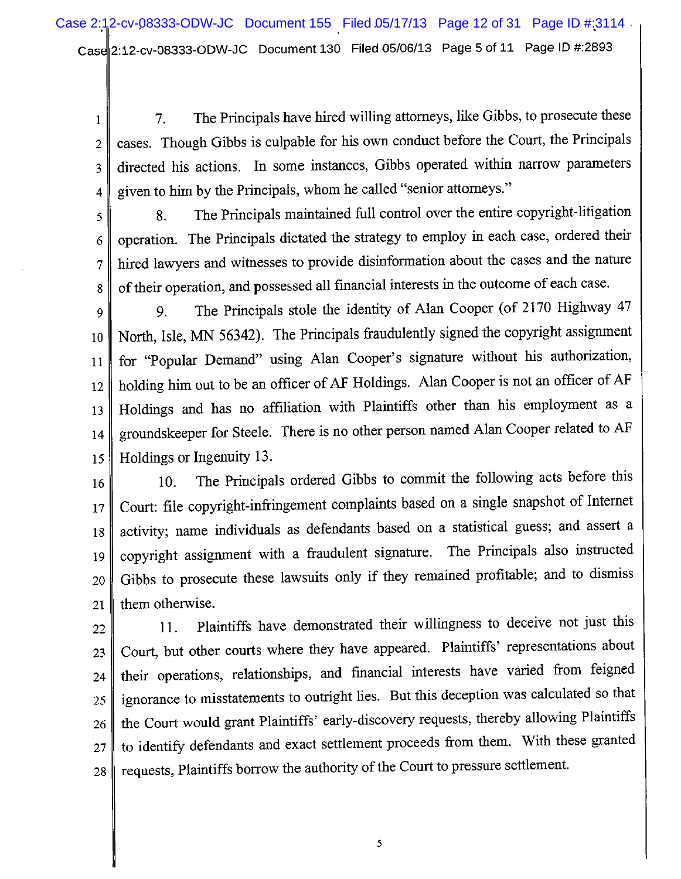- The Principals have hired willing attorneys, like Gibbs, to prosecute these 7.  $\mathbf{1}$ cases. Though Gibbs is culpable for his own conduct before the Court, the Principals  $\overline{2}$ directed his actions. In some instances, Gibbs operated within narrow parameters 3 given to him by the Principals, whom he called "senior attorneys."  $\overline{4}$
- 5

6

 $\overline{7}$ 

8

The Principals maintained full control over the entire copyright-litigation 8. operation. The Principals dictated the strategy to employ in each case, ordered their hired lawyers and witnesses to provide disinformation about the cases and the nature of their operation, and possessed all financial interests in the outcome of each case.

The Principals stole the identity of Alan Cooper (of 2170 Highway 47 9. 9 North, Isle, MN 56342). The Principals fraudulently signed the copyright assignment 10 for "Popular Demand" using Alan Cooper's signature without his authorization,  $11$ holding him out to be an officer of AF Holdings. Alan Cooper is not an officer of AF 12 Holdings and has no affiliation with Plaintiffs other than his employment as a 13 groundskeeper for Steele. There is no other person named Alan Cooper related to AF 14 Holdings or Ingenuity 13. 15

The Principals ordered Gibbs to commit the following acts before this 10. 16 Court: file copyright-infringement complaints based on a single snapshot of Internet 17 activity; name individuals as defendants based on a statistical guess; and assert a 18 copyright assignment with a fraudulent signature. The Principals also instructed 19 Gibbs to prosecute these lawsuits only if they remained profitable; and to dismiss 20 them otherwise. 21

Plaintiffs have demonstrated their willingness to deceive not just this  $11.$ 22 Court, but other courts where they have appeared. Plaintiffs' representations about 23 their operations, relationships, and financial interests have varied from feigned 24 ignorance to misstatements to outright lies. But this deception was calculated so that 25 the Court would grant Plaintiffs' early-discovery requests, thereby allowing Plaintiffs 26 to identify defendants and exact settlement proceeds from them. With these granted 27 requests, Plaintiffs borrow the authority of the Court to pressure settlement. 28

5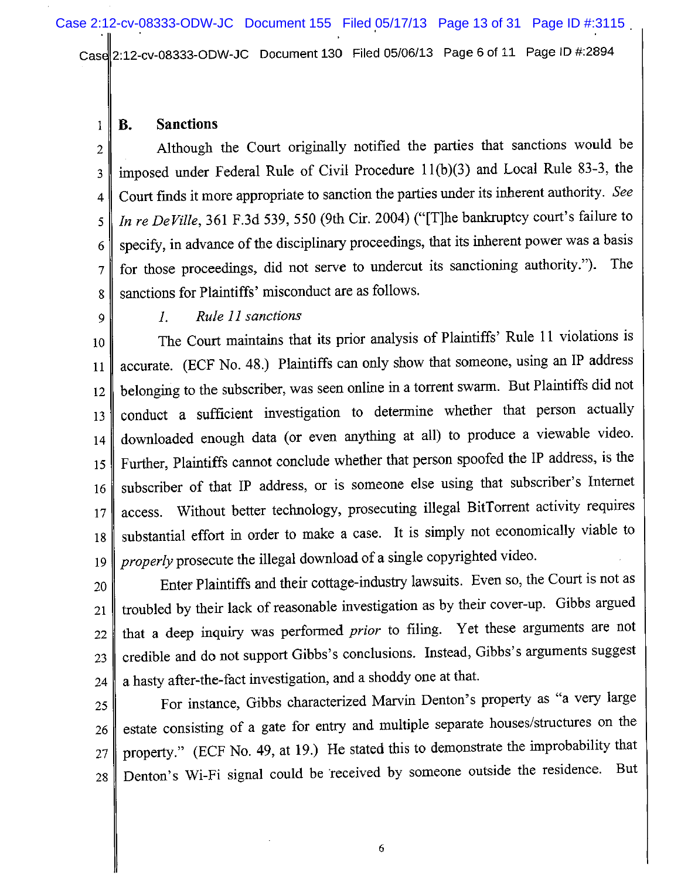Case 2:12-cv-08333-ODW-JC Document 155 Filed 05/17/13 Page 13 of 31 Page ID #:3115

Case 2:12-cv-08333-ODW-JC Document 130 Filed 05/06/13 Page 6 of 11 Page ID #:2894

#### **Sanctions B.**

Although the Court originally notified the parties that sanctions would be  $\overline{2}$ imposed under Federal Rule of Civil Procedure 11(b)(3) and Local Rule 83-3, the 3 Court finds it more appropriate to sanction the parties under its inherent authority. See  $\overline{4}$ In re DeVille, 361 F.3d 539, 550 (9th Cir. 2004) ("[T]he bankruptcy court's failure to 5 specify, in advance of the disciplinary proceedings, that its inherent power was a basis 6 for those proceedings, did not serve to undercut its sanctioning authority."). The 7 sanctions for Plaintiffs' misconduct are as follows. 8

9

 $\mathbf{I}$ 

#### Rule 11 sanctions  $\mathcal{I}$ .

The Court maintains that its prior analysis of Plaintiffs' Rule 11 violations is 10 accurate. (ECF No. 48.) Plaintiffs can only show that someone, using an IP address 11 belonging to the subscriber, was seen online in a torrent swarm. But Plaintiffs did not  $12$ conduct a sufficient investigation to determine whether that person actually 13 downloaded enough data (or even anything at all) to produce a viewable video. 14 Further, Plaintiffs cannot conclude whether that person spoofed the IP address, is the 15 subscriber of that IP address, or is someone else using that subscriber's Internet 16 access. Without better technology, prosecuting illegal BitTorrent activity requires  $17$ substantial effort in order to make a case. It is simply not economically viable to 18 properly prosecute the illegal download of a single copyrighted video. 19

Enter Plaintiffs and their cottage-industry lawsuits. Even so, the Court is not as 20 troubled by their lack of reasonable investigation as by their cover-up. Gibbs argued 21 that a deep inquiry was performed prior to filing. Yet these arguments are not 22 credible and do not support Gibbs's conclusions. Instead, Gibbs's arguments suggest 23 a hasty after-the-fact investigation, and a shoddy one at that. 24

For instance, Gibbs characterized Marvin Denton's property as "a very large 25 estate consisting of a gate for entry and multiple separate houses/structures on the 26 property." (ECF No. 49, at 19.) He stated this to demonstrate the improbability that 27 Denton's Wi-Fi signal could be received by someone outside the residence. But 28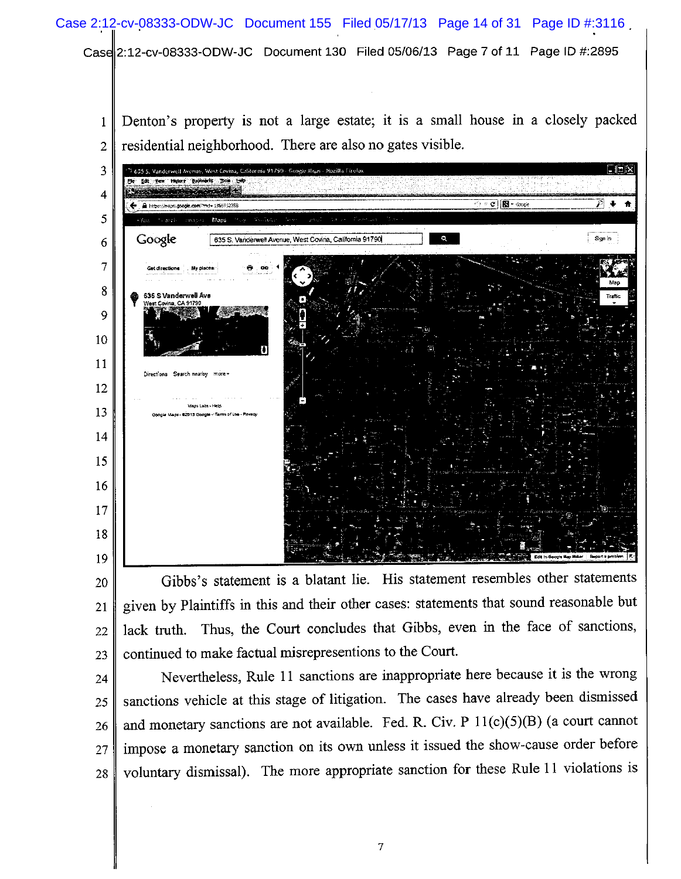

sanctions vehicle at this stage of litigation. The cases have already been dismissed 25 and monetary sanctions are not available. Fed. R. Civ. P  $11(c)(5)(B)$  (a court cannot 26 impose a monetary sanction on its own unless it issued the show-cause order before 27 voluntary dismissal). The more appropriate sanction for these Rule 11 violations is 28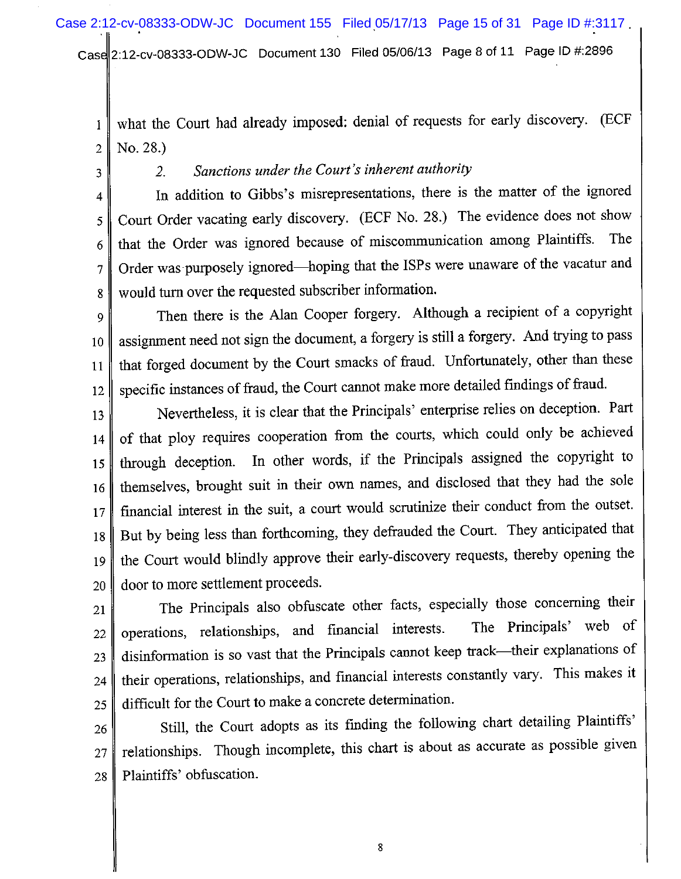Case 2:12-cv-08333-ODW-JC Document 155 Filed 05/17/13 Page 15 of 31 Page ID #:3117.

Case 2:12-cv-08333-ODW-JC Document 130 Filed 05/06/13 Page 8 of 11 Page ID #:2896

what the Court had already imposed: denial of requests for early discovery. (ECF  $\mathbf{1}$ No. 28.)  $\overline{2}$ 

3

#### Sanctions under the Court's inherent authority  $2<sup>1</sup>$

In addition to Gibbs's misrepresentations, there is the matter of the ignored  $\overline{\mathbf{4}}$ Court Order vacating early discovery. (ECF No. 28.) The evidence does not show 5 that the Order was ignored because of miscommunication among Plaintiffs. The 6 Order was purposely ignored—hoping that the ISPs were unaware of the vacatur and  $\overline{7}$ would turn over the requested subscriber information. 8

Then there is the Alan Cooper forgery. Although a recipient of a copyright 9 assignment need not sign the document, a forgery is still a forgery. And trying to pass 10 that forged document by the Court smacks of fraud. Unfortunately, other than these 11 specific instances of fraud, the Court cannot make more detailed findings of fraud.  $12$ 

Nevertheless, it is clear that the Principals' enterprise relies on deception. Part 13 of that ploy requires cooperation from the courts, which could only be achieved 14 In other words, if the Principals assigned the copyright to through deception. 15 themselves, brought suit in their own names, and disclosed that they had the sole 16 financial interest in the suit, a court would scrutinize their conduct from the outset. 17 But by being less than forthcoming, they defrauded the Court. They anticipated that 18 the Court would blindly approve their early-discovery requests, thereby opening the 19 door to more settlement proceeds. 20

The Principals also obfuscate other facts, especially those concerning their 21 operations, relationships, and financial interests. The Principals' web of 22 disinformation is so vast that the Principals cannot keep track—their explanations of 23 their operations, relationships, and financial interests constantly vary. This makes it 24 difficult for the Court to make a concrete determination. 25

Still, the Court adopts as its finding the following chart detailing Plaintiffs' 26 relationships. Though incomplete, this chart is about as accurate as possible given 27 Plaintiffs' obfuscation. 28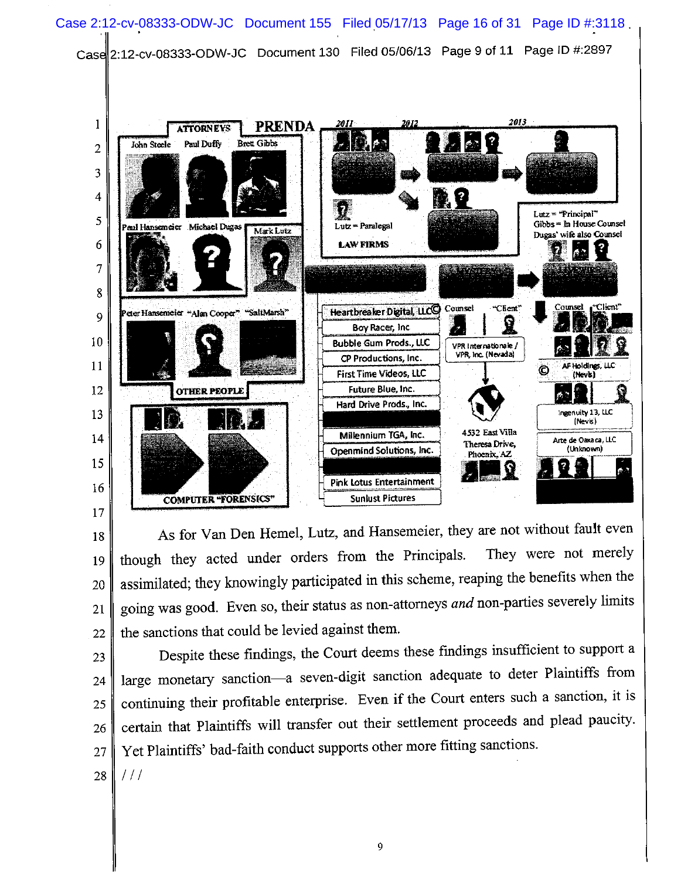

As for Van Den Hemel, Lutz, and Hansemeier, they are not without fault even 18 though they acted under orders from the Principals. They were not merely 19 assimilated; they knowingly participated in this scheme, reaping the benefits when the 20 going was good. Even so, their status as non-attorneys and non-parties severely limits 21 the sanctions that could be levied against them. 22

Despite these findings, the Court deems these findings insufficient to support a 23 large monetary sanction-a seven-digit sanction adequate to deter Plaintiffs from 24 continuing their profitable enterprise. Even if the Court enters such a sanction, it is 25 certain that Plaintiffs will transfer out their settlement proceeds and plead paucity. 26 Yet Plaintiffs' bad-faith conduct supports other more fitting sanctions. 27

28  $111$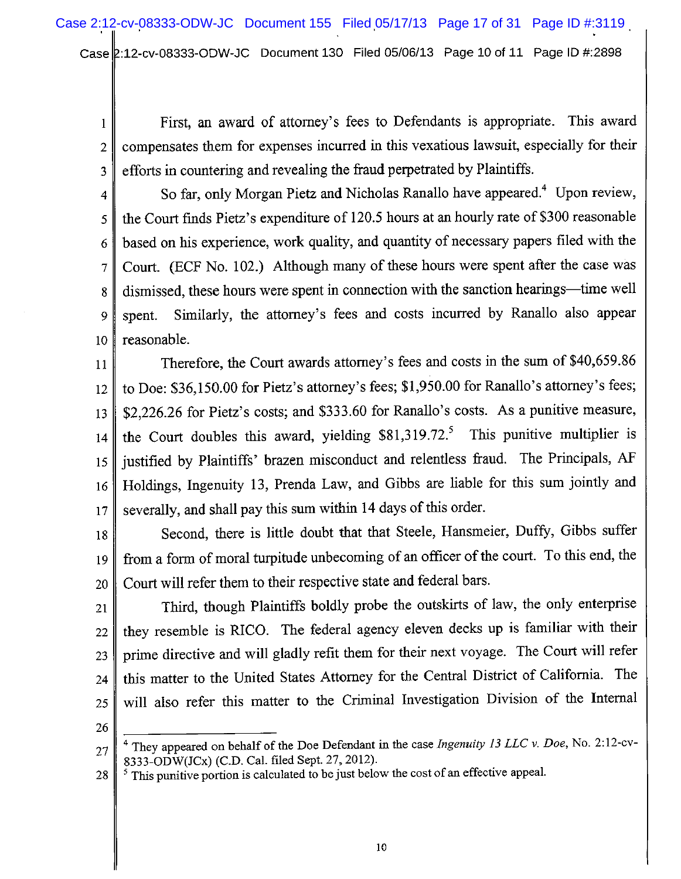Case 2:12-cv-08333-ODW-JC Document 130 Filed 05/06/13 Page 10 of 11 Page ID #:2898

First, an award of attorney's fees to Defendants is appropriate. This award  $\mathbf{1}$ compensates them for expenses incurred in this vexatious lawsuit, especially for their  $\overline{2}$ efforts in countering and revealing the fraud perpetrated by Plaintiffs. 3

So far, only Morgan Pietz and Nicholas Ranallo have appeared.<sup>4</sup> Upon review,  $\overline{\mathbf{4}}$ the Court finds Pietz's expenditure of 120.5 hours at an hourly rate of \$300 reasonable 5 based on his experience, work quality, and quantity of necessary papers filed with the 6 Court. (ECF No. 102.) Although many of these hours were spent after the case was  $\overline{7}$ dismissed, these hours were spent in connection with the sanction hearings—time well 8 Similarly, the attorney's fees and costs incurred by Ranallo also appear spent. 9 reasonable. 10

Therefore, the Court awards attorney's fees and costs in the sum of \$40,659.86 11 to Doe: \$36,150.00 for Pietz's attorney's fees; \$1,950.00 for Ranallo's attorney's fees; 12 \$2,226.26 for Pietz's costs; and \$333.60 for Ranallo's costs. As a punitive measure, 13 the Court doubles this award, yielding  $$81,319.72$ <sup>5</sup> This punitive multiplier is 14 justified by Plaintiffs' brazen misconduct and relentless fraud. The Principals, AF 15 Holdings, Ingenuity 13, Prenda Law, and Gibbs are liable for this sum jointly and 16 severally, and shall pay this sum within 14 days of this order.  $17$ 

Second, there is little doubt that that Steele, Hansmeier, Duffy, Gibbs suffer 18 from a form of moral turpitude unbecoming of an officer of the court. To this end, the 19 Court will refer them to their respective state and federal bars. 20

Third, though Plaintiffs boldly probe the outskirts of law, the only enterprise 21 they resemble is RICO. The federal agency eleven decks up is familiar with their 22 prime directive and will gladly refit them for their next voyage. The Court will refer 23 this matter to the United States Attorney for the Central District of California. The 24 will also refer this matter to the Criminal Investigation Division of the Internal 25

26

<sup>&</sup>lt;sup>4</sup> They appeared on behalf of the Doe Defendant in the case Ingenuity 13 LLC v. Doe, No. 2:12-cv-27 8333-ODW(JCx) (C.D. Cal. filed Sept. 27, 2012).

<sup>&</sup>lt;sup>5</sup> This punitive portion is calculated to be just below the cost of an effective appeal. 28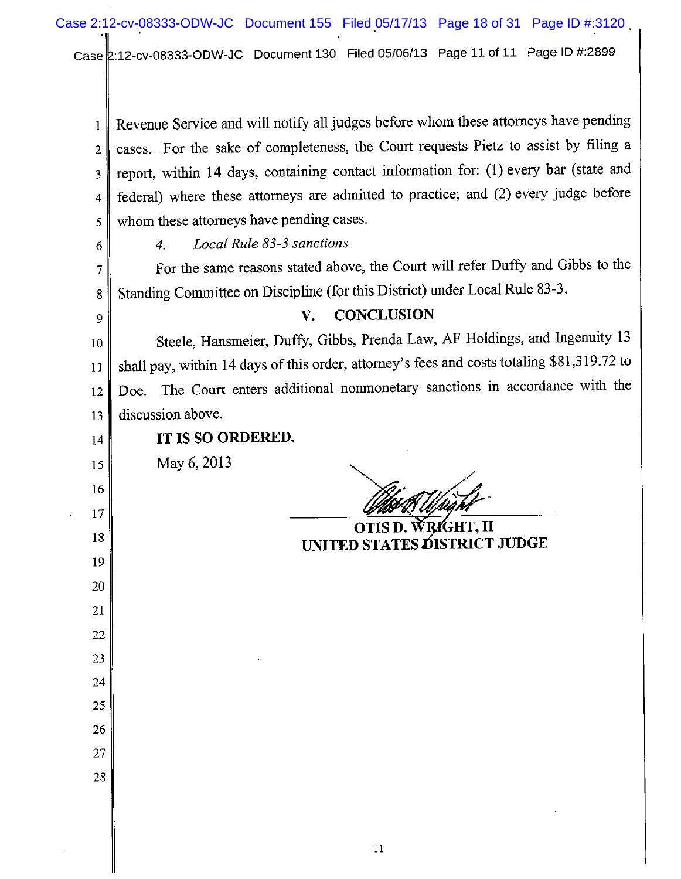Case 2:12-cv-08333-ODW-JC Document 155 Filed 05/17/13 Page 18 of 31 Page ID #:3120 Case 2:12-cv-08333-ODW-JC Document 130 Filed 05/06/13 Page 11 of 11 Page ID #:2899 Revenue Service and will notify all judges before whom these attorneys have pending  $\mathbf{1}$ cases. For the sake of completeness, the Court requests Pietz to assist by filing a  $\overline{2}$ report, within 14 days, containing contact information for: (1) every bar (state and 3

federal) where these attorneys are admitted to practice; and (2) every judge before whom these attorneys have pending cases.

6

 $\overline{4}$ 

5

 $\mathbf Q$ 

15

16

17

18

19

20

21

22

23

24

25

26

27

28

Local Rule 83-3 sanctions  $\overline{4}$ .

For the same reasons stated above, the Court will refer Duffy and Gibbs to the  $\overline{7}$ Standing Committee on Discipline (for this District) under Local Rule 83-3. 8

#### **CONCLUSION**  $V_{\star}$

Steele, Hansmeier, Duffy, Gibbs, Prenda Law, AF Holdings, and Ingenuity 13 10 shall pay, within 14 days of this order, attorney's fees and costs totaling \$81,319.72 to 11 Doe. The Court enters additional nonmonetary sanctions in accordance with the 12 discussion above. 13

IT IS SO ORDERED. 14

May 6, 2013

OTIS D. WRIGHT. II **UNITED STATES DISTRICT JUDGE**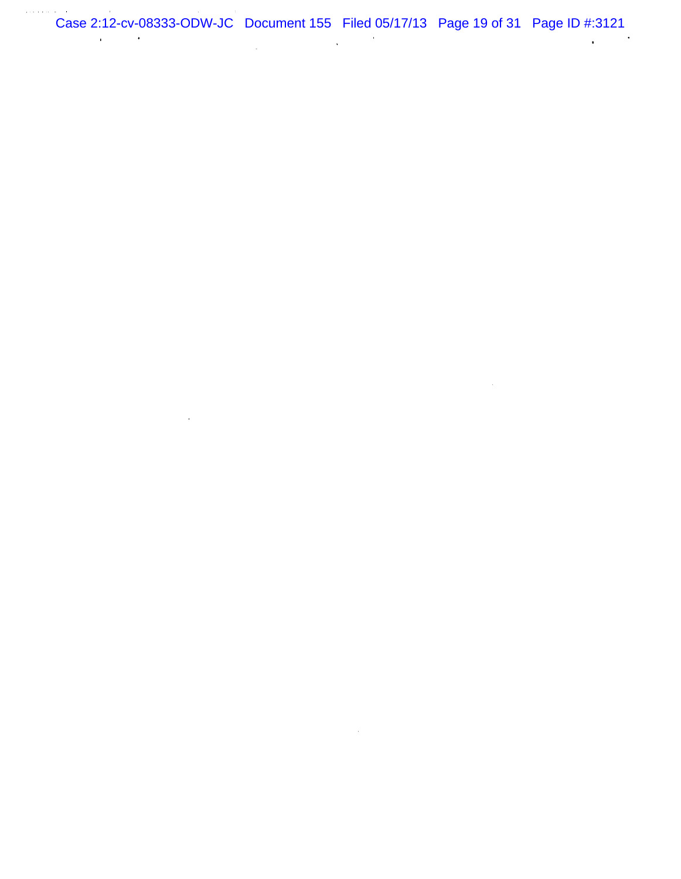$\sim 10^6$ الكالمعاد Case 2:12-cv-08333-ODW-JC Document 155 Filed 05/17/13 Page 19 of 31 Page ID #:3121

 $\mathcal{L}^{\text{max}}_{\text{max}}$  and  $\mathcal{L}^{\text{max}}_{\text{max}}$ 

 $\sim$  1

 $\mathcal{L}^{\text{max}}_{\text{max}}$  and  $\mathcal{L}^{\text{max}}_{\text{max}}$ 

 $\sim$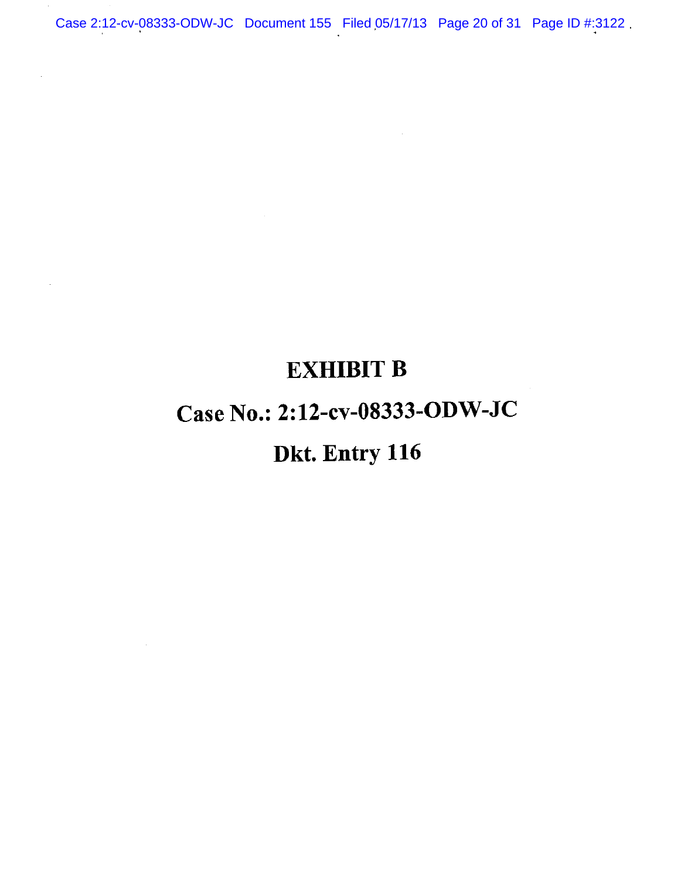Case 2:12-cv-08333-ODW-JC Document 155 Filed 05/17/13 Page 20 of 31 Page ID #:3122

## **EXHIBIT B**

### Case No.: 2:12-cv-08333-ODW-JC

# Dkt. Entry 116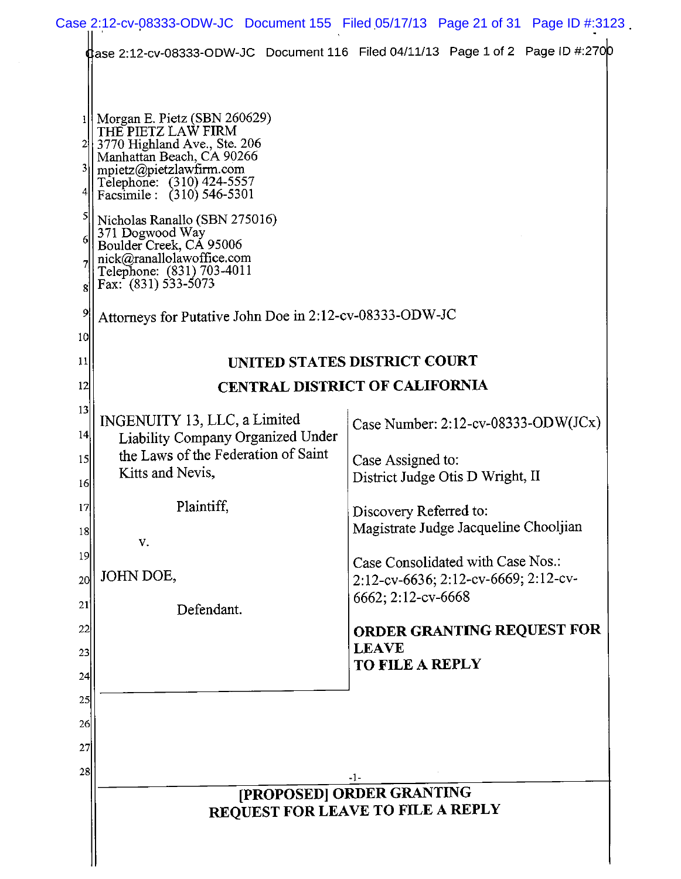|                      | Case 2:12-cv-08333-ODW-JC Document 155 Filed 05/17/13 Page 21 of 31 Page ID #:3123                                                                                                                                                                                                                                                                                                                                              |                                                                                                    |  |
|----------------------|---------------------------------------------------------------------------------------------------------------------------------------------------------------------------------------------------------------------------------------------------------------------------------------------------------------------------------------------------------------------------------------------------------------------------------|----------------------------------------------------------------------------------------------------|--|
|                      | $\frac{1}{2}$ ase 2:12-cv-08333-ODW-JC Document 116 Filed 04/11/13 Page 1 of 2 Page ID #:2700                                                                                                                                                                                                                                                                                                                                   |                                                                                                    |  |
| 9                    | Morgan E. Pietz (SBN 260629)<br>THE PIETZ LAW FIRM<br>3770 Highland Ave., Ste. 206<br>Manhattan Beach, CA 90266<br>mpietz@pietzlawfirm.com<br>Telephone: (310) 424-5557<br>Facsimile: (310) 546-5301<br>Nicholas Ranallo (SBN 275016)<br>371 Dogwood Way<br>Boulder Creek, CA 95006<br>nick@ranallolawoffice.com<br>Telephone: (831) 703-4011<br>Fax: (831) 533-5073<br>Attorneys for Putative John Doe in 2:12-cv-08333-ODW-JC |                                                                                                    |  |
| 10                   |                                                                                                                                                                                                                                                                                                                                                                                                                                 |                                                                                                    |  |
| 11                   |                                                                                                                                                                                                                                                                                                                                                                                                                                 | UNITED STATES DISTRICT COURT                                                                       |  |
| 12                   |                                                                                                                                                                                                                                                                                                                                                                                                                                 | <b>CENTRAL DISTRICT OF CALIFORNIA</b>                                                              |  |
| 13<br>14<br>15<br>16 | INGENUITY 13, LLC, a Limited<br>Liability Company Organized Under<br>the Laws of the Federation of Saint<br>Kitts and Nevis,                                                                                                                                                                                                                                                                                                    | Case Number: 2:12-cv-08333-ODW(JCx)<br>Case Assigned to:<br>District Judge Otis D Wright, II       |  |
| 17<br>18<br>19       | Plaintiff,<br>V.                                                                                                                                                                                                                                                                                                                                                                                                                | Discovery Referred to:<br>Magistrate Judge Jacqueline Chooljian                                    |  |
| 20<br>21             | JOHN DOE,<br>Defendant.                                                                                                                                                                                                                                                                                                                                                                                                         | Case Consolidated with Case Nos.:<br>$2:12$ -cv-6636; 2:12-cv-6669; 2:12-cv-<br>6662; 2:12-cv-6668 |  |
| 22<br>23<br>24       |                                                                                                                                                                                                                                                                                                                                                                                                                                 | ORDER GRANTING REQUEST FOR<br><b>LEAVE</b><br><b>TO FILE A REPLY</b>                               |  |
| 25                   |                                                                                                                                                                                                                                                                                                                                                                                                                                 |                                                                                                    |  |
| 26<br>27             |                                                                                                                                                                                                                                                                                                                                                                                                                                 |                                                                                                    |  |
| 28                   |                                                                                                                                                                                                                                                                                                                                                                                                                                 |                                                                                                    |  |
|                      |                                                                                                                                                                                                                                                                                                                                                                                                                                 | -1-<br>[PROPOSED] ORDER GRANTING<br>REQUEST FOR LEAVE TO FILE A REPLY                              |  |

 $\ddot{\phantom{0}}$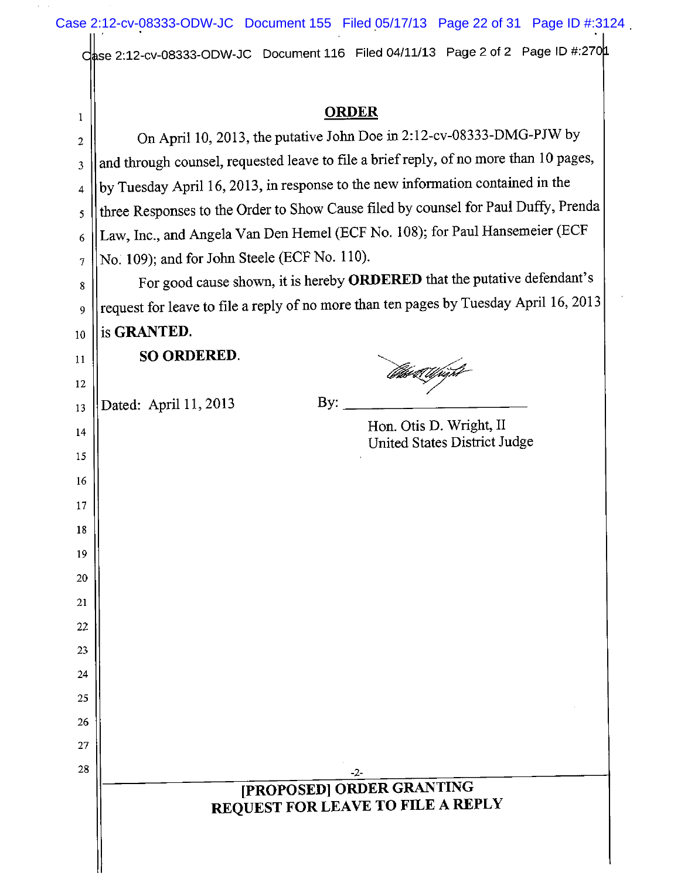|                | Case 2:12-cv-08333-ODW-JC Document 155 Filed 05/17/13 Page 22 of 31 Page ID #:3124        |  |
|----------------|-------------------------------------------------------------------------------------------|--|
|                | $\frac{1}{2}$ cv-08333-ODW-JC Document 116 Filed 04/11/13 Page 2 of 2 Page ID #:270 $\mu$ |  |
| 1              | <b>ORDER</b>                                                                              |  |
| $\overline{c}$ | On April 10, 2013, the putative John Doe in 2:12-cv-08333-DMG-PJW by                      |  |
| 3              | and through counsel, requested leave to file a brief reply, of no more than 10 pages,     |  |
| 4              | by Tuesday April 16, 2013, in response to the new information contained in the            |  |
| 5              | three Responses to the Order to Show Cause filed by counsel for Paul Duffy, Prenda        |  |
| 6              | Law, Inc., and Angela Van Den Hemel (ECF No. 108); for Paul Hansemeier (ECF               |  |
| 7              | No. 109); and for John Steele (ECF No. 110).                                              |  |
| 8              | For good cause shown, it is hereby ORDERED that the putative defendant's                  |  |
| 9              | request for leave to file a reply of no more than ten pages by Tuesday April 16, 2013     |  |
| 10             | is GRANTED.                                                                               |  |
| 11             | SO ORDERED.                                                                               |  |
| 12             | <i>Uth</i> erti Uprafil                                                                   |  |
| 13             | By:<br>Dated: April 11, 2013                                                              |  |
| 14             | Hon. Otis D. Wright, II<br>United States District Judge                                   |  |
| 15             |                                                                                           |  |
| 16             |                                                                                           |  |
| 17             |                                                                                           |  |
| 18<br>19       |                                                                                           |  |
| 20             |                                                                                           |  |
| 21             |                                                                                           |  |
| 22             |                                                                                           |  |
| 23             |                                                                                           |  |
| 24             |                                                                                           |  |
| 25             |                                                                                           |  |
| 26             |                                                                                           |  |

PROPOSED| ORDER GRANTING<br>REQUEST FOR LEAVE TO FILE A REPLY

27

28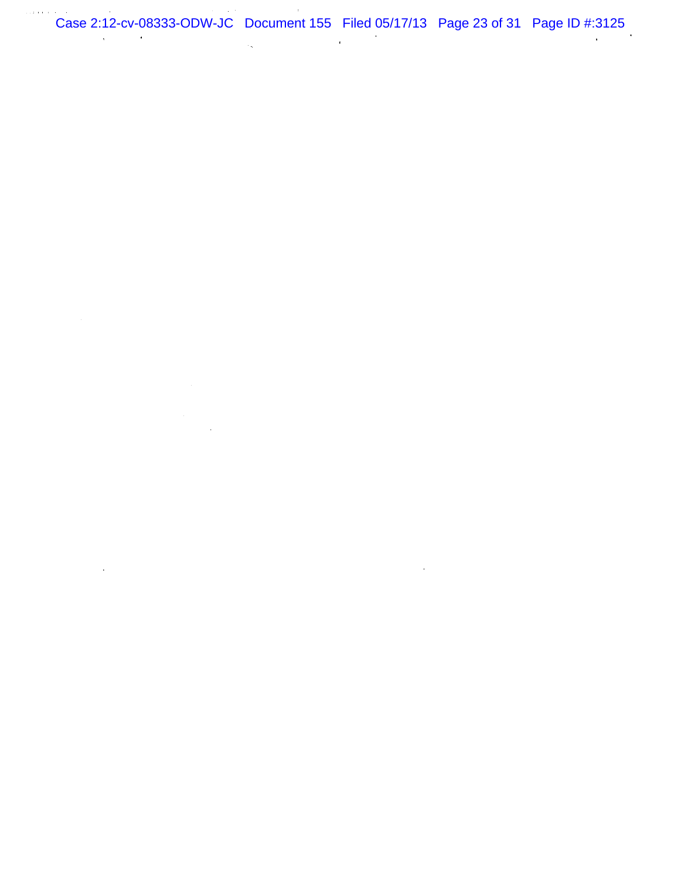$\frac{1}{\sqrt{2}}\sum_{i=1}^{n-1}\frac{1}{i!}\sum_{j=1}^{n-1}\frac{1}{j!}\sum_{j=1}^{n-1}\frac{1}{j!}\sum_{j=1}^{n-1}\frac{1}{j!}\sum_{j=1}^{n-1}\frac{1}{j!}\sum_{j=1}^{n-1}\frac{1}{j!}\sum_{j=1}^{n-1}\frac{1}{j!}\sum_{j=1}^{n-1}\frac{1}{j!}\sum_{j=1}^{n-1}\frac{1}{j!}\sum_{j=1}^{n-1}\frac{1}{j!}\sum_{j=1}^{n-1}\frac{1}{j!}\sum_{j=1}^{n-1}\$ 

 $\sim 10^{-1}$ 

 $\label{eq:2.1} \begin{split} \mathcal{L}^{(1)}(x) &= \mathcal{L}^{(1)}(x) \mathcal{L}^{(1)}(x) \mathcal{L}^{(1)}(x) \mathcal{L}^{(1)}(x) \mathcal{L}^{(1)}(x) \mathcal{L}^{(1)}(x) \mathcal{L}^{(1)}(x) \mathcal{L}^{(1)}(x) \mathcal{L}^{(1)}(x) \mathcal{L}^{(1)}(x) \mathcal{L}^{(1)}(x) \mathcal{L}^{(1)}(x) \mathcal{L}^{(1)}(x) \mathcal{L}^{(1)}(x) \mathcal{L}^{(1)}$ 

 $\mathcal{L}(\mathcal{L}^{\mathcal{L}})$  and  $\mathcal{L}(\mathcal{L}^{\mathcal{L}})$  . **Contract Contract**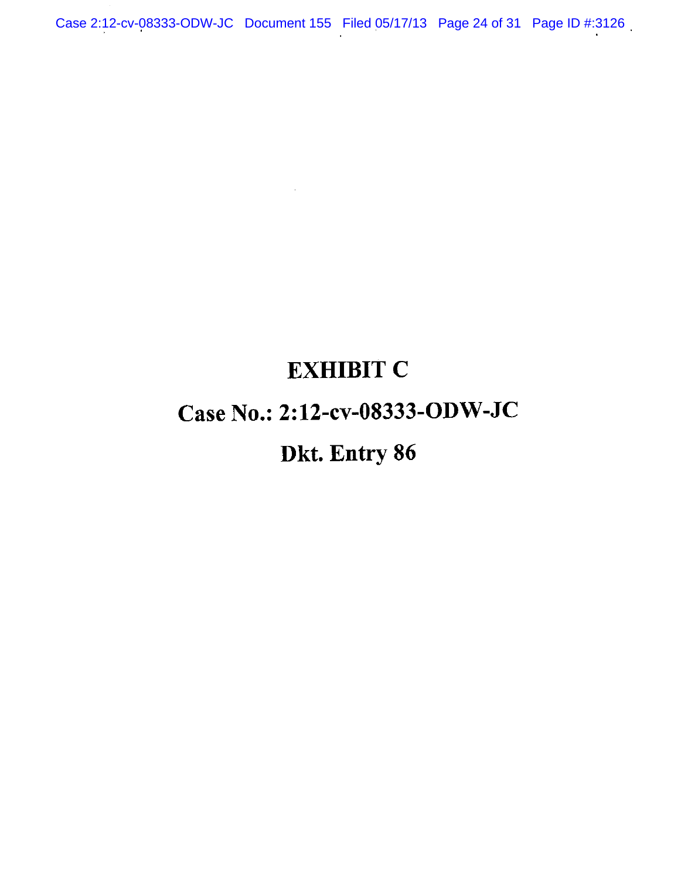Case 2:12-cv-08333-ODW-JC Document 155 Filed 05/17/13 Page 24 of 31 Page ID #:3126

## **EXHIBIT C**

### Case No.: 2:12-cv-08333-ODW-JC

### Dkt. Entry 86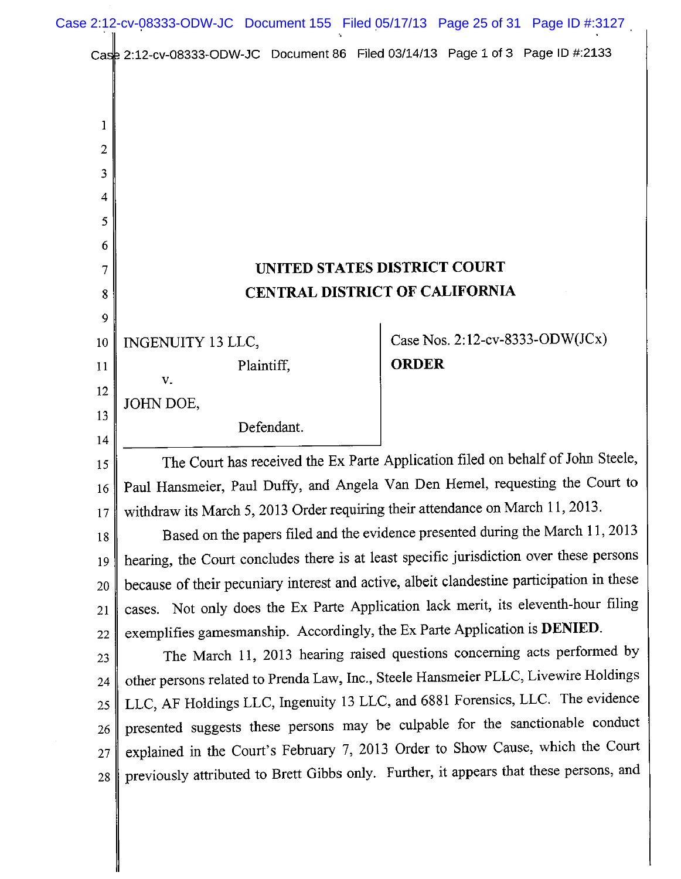|                                                                                 | Case 2:12-cv-08333-ODW-JC Document 155 Filed 05/17/13 Page 25 of 31 Page ID #:3127                                                                                                   |                                                                                        |  |  |
|---------------------------------------------------------------------------------|--------------------------------------------------------------------------------------------------------------------------------------------------------------------------------------|----------------------------------------------------------------------------------------|--|--|
| Case 2:12-cv-08333-ODW-JC Document 86 Filed 03/14/13 Page 1 of 3 Page ID #:2133 |                                                                                                                                                                                      |                                                                                        |  |  |
|                                                                                 |                                                                                                                                                                                      |                                                                                        |  |  |
|                                                                                 |                                                                                                                                                                                      |                                                                                        |  |  |
| 1                                                                               |                                                                                                                                                                                      |                                                                                        |  |  |
| 2                                                                               |                                                                                                                                                                                      |                                                                                        |  |  |
| 3<br>4                                                                          |                                                                                                                                                                                      |                                                                                        |  |  |
| 5                                                                               |                                                                                                                                                                                      |                                                                                        |  |  |
| 6                                                                               |                                                                                                                                                                                      |                                                                                        |  |  |
| 7                                                                               | UNITED STATES DISTRICT COURT                                                                                                                                                         |                                                                                        |  |  |
| 8                                                                               | <b>CENTRAL DISTRICT OF CALIFORNIA</b>                                                                                                                                                |                                                                                        |  |  |
| 9                                                                               |                                                                                                                                                                                      |                                                                                        |  |  |
| 10                                                                              | INGENUITY 13 LLC,                                                                                                                                                                    | Case Nos. 2:12-cv-8333-ODW(JCx)                                                        |  |  |
| 11                                                                              | Plaintiff,<br>$\mathbf{V}$ .                                                                                                                                                         | <b>ORDER</b>                                                                           |  |  |
| 12                                                                              | JOHN DOE,                                                                                                                                                                            |                                                                                        |  |  |
| 13                                                                              | Defendant.                                                                                                                                                                           |                                                                                        |  |  |
| 14                                                                              |                                                                                                                                                                                      |                                                                                        |  |  |
| 15                                                                              | Paul Hansmeier, Paul Duffy, and Angela Van Den Hemel, requesting the Court to                                                                                                        | The Court has received the Ex Parte Application filed on behalf of John Steele,        |  |  |
| 16                                                                              | withdraw its March 5, 2013 Order requiring their attendance on March 11, 2013.                                                                                                       |                                                                                        |  |  |
| 17<br>18                                                                        |                                                                                                                                                                                      | Based on the papers filed and the evidence presented during the March 11, 2013         |  |  |
| 19                                                                              |                                                                                                                                                                                      |                                                                                        |  |  |
| 20                                                                              | hearing, the Court concludes there is at least specific jurisdiction over these persons<br>because of their pecuniary interest and active, albeit clandestine participation in these |                                                                                        |  |  |
| 21                                                                              | cases. Not only does the Ex Parte Application lack merit, its eleventh-hour filing                                                                                                   |                                                                                        |  |  |
| 22                                                                              | exemplifies gamesmanship. Accordingly, the Ex Parte Application is DENIED.                                                                                                           |                                                                                        |  |  |
| 23                                                                              | The March 11, 2013 hearing raised questions concerning acts performed by                                                                                                             |                                                                                        |  |  |
| 24                                                                              |                                                                                                                                                                                      | other persons related to Prenda Law, Inc., Steele Hansmeier PLLC, Livewire Holdings    |  |  |
| 25                                                                              |                                                                                                                                                                                      | LLC, AF Holdings LLC, Ingenuity 13 LLC, and 6881 Forensics, LLC. The evidence          |  |  |
| 26                                                                              |                                                                                                                                                                                      | presented suggests these persons may be culpable for the sanctionable conduct          |  |  |
| 27                                                                              | explained in the Court's February 7, 2013 Order to Show Cause, which the Court                                                                                                       |                                                                                        |  |  |
| 28                                                                              |                                                                                                                                                                                      | previously attributed to Brett Gibbs only. Further, it appears that these persons, and |  |  |
|                                                                                 |                                                                                                                                                                                      |                                                                                        |  |  |
|                                                                                 |                                                                                                                                                                                      |                                                                                        |  |  |

ł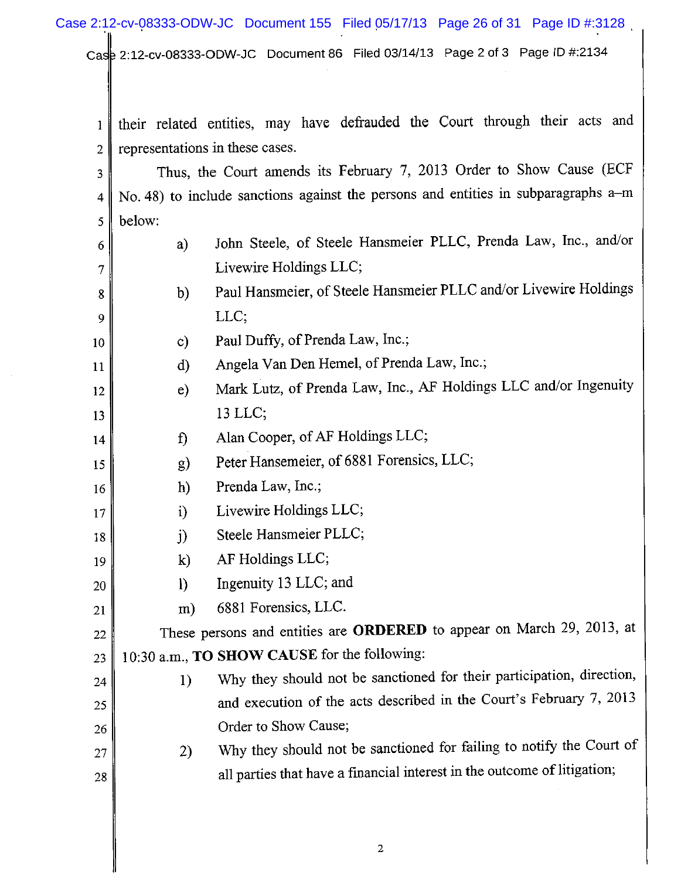Case 2:12-cv-08333-ODW-JC Document 155 Filed 05/17/13 Page 26 of 31 Page ID #:3128 Case 2:12-cv-08333-ODW-JC Document 86 Filed 03/14/13 Page 2 of 3 Page ID #:2134

their related entities, may have defrauded the Court through their acts and  $\mathbf{1}$ representations in these cases.  $\overline{2}$ 

Thus, the Court amends its February 7, 2013 Order to Show Cause (ECF 3 No. 48) to include sanctions against the persons and entities in subparagraphs a-m  $\overline{4}$ helow: 5

- John Steele, of Steele Hansmeier PLLC, Prenda Law, Inc., and/or  $a)$ Livewire Holdings LLC;
- Paul Hansmeier, of Steele Hansmeier PLLC and/or Livewire Holdings  $b)$ LLC:
	- Paul Duffy, of Prenda Law, Inc.;  $c)$ 
		- Angela Van Den Hemel, of Prenda Law, Inc.;  $\mathbf{d}$
	- Mark Lutz, of Prenda Law, Inc., AF Holdings LLC and/or Ingenuity  $e)$ 13 LLC;
	- Alan Cooper, of AF Holdings LLC;  $\mathbf f$ 
		- Peter Hansemeier, of 6881 Forensics, LLC;  $g)$
- Prenda Law, Inc.;  $h)$ 16

6

 $\overline{7}$ 

8

9

 $10<sup>1</sup>$ 

11

 $12$ 

13

14

15

18

19

20

21

24

25

26

- Livewire Holdings LLC;  $i)$  $17$ 
	- Steele Hansmeier PLLC;  $j)$
	- AF Holdings LLC;  $\bf k)$ 
		- Ingenuity 13 LLC; and  $\mathbf{D}$
		- 6881 Forensics, LLC.  $m)$

These persons and entities are ORDERED to appear on March 29, 2013, at 22 10:30 a.m., TO SHOW CAUSE for the following: 23

- Why they should not be sanctioned for their participation, direction,  $1)$ and execution of the acts described in the Court's February 7, 2013 Order to Show Cause;
- Why they should not be sanctioned for failing to notify the Court of  $2)$ 27 all parties that have a financial interest in the outcome of litigation; 28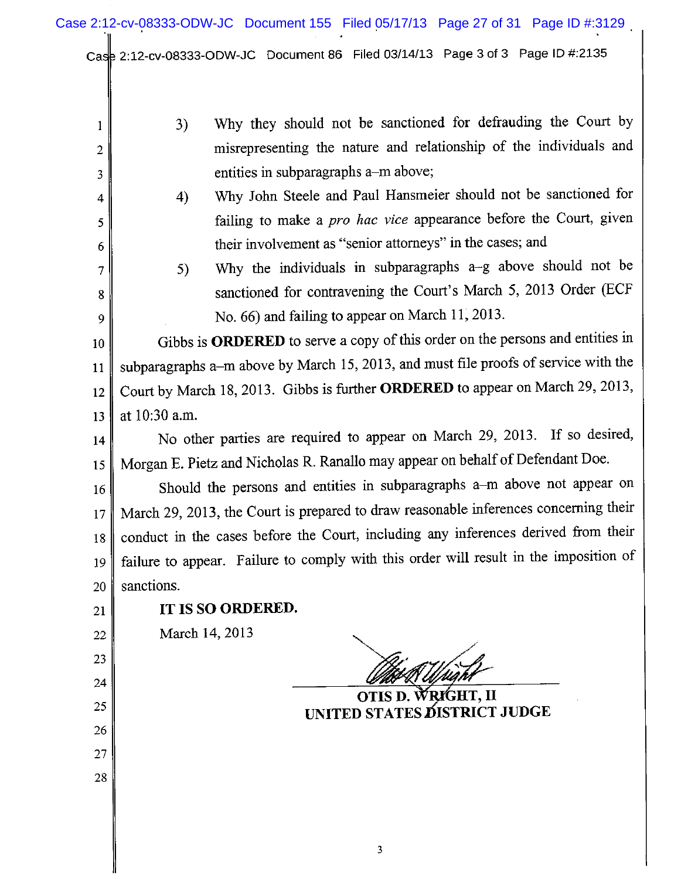Case 2:12-cv-08333-ODW-JC Document 86 Filed 03/14/13 Page 3 of 3 Page ID #:2135

- Why they should not be sanctioned for defrauding the Court by  $3)$ misrepresenting the nature and relationship of the individuals and entities in subparagraphs a–m above;
- Why John Steele and Paul Hansmeier should not be sanctioned for  $4)$ failing to make a pro hac vice appearance before the Court, given their involvement as "senior attorneys" in the cases; and
- Why the individuals in subparagraphs a-g above should not be  $5)$ sanctioned for contravening the Court's March 5, 2013 Order (ECF No. 66) and failing to appear on March 11, 2013.

Gibbs is ORDERED to serve a copy of this order on the persons and entities in  $10$ subparagraphs a-m above by March 15, 2013, and must file proofs of service with the 11 Court by March 18, 2013. Gibbs is further ORDERED to appear on March 29, 2013,  $12$ at 10:30 a.m. 13

No other parties are required to appear on March 29, 2013. If so desired, 14 Morgan E. Pietz and Nicholas R. Ranallo may appear on behalf of Defendant Doe. 15

Should the persons and entities in subparagraphs a-m above not appear on 16 March 29, 2013, the Court is prepared to draw reasonable inferences concerning their  $17$ conduct in the cases before the Court, including any inferences derived from their 18 failure to appear. Failure to comply with this order will result in the imposition of 19 sanctions. 20

21

22

23

24

25

26

27

28

 $\mathbf{1}$ 

 $\overline{2}$ 

3

 $\overline{\mathbf{4}}$ 

5

6

7

8

9

IT IS SO ORDERED.

March 14, 2013

OTIS D. GHT. II UNITED STATES DISTRICT JUDGE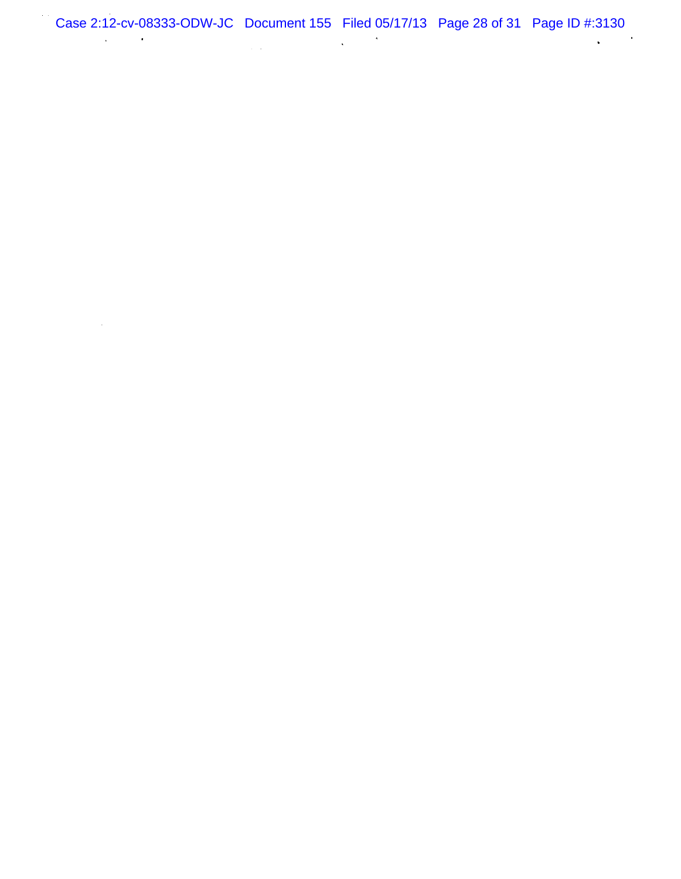Case 2:12-cv-08333-ODW-JC Document 155 Filed 05/17/13 Page 28 of 31 Page ID #:3130

 $\mathcal{L}^{\text{max}}_{\text{max}}$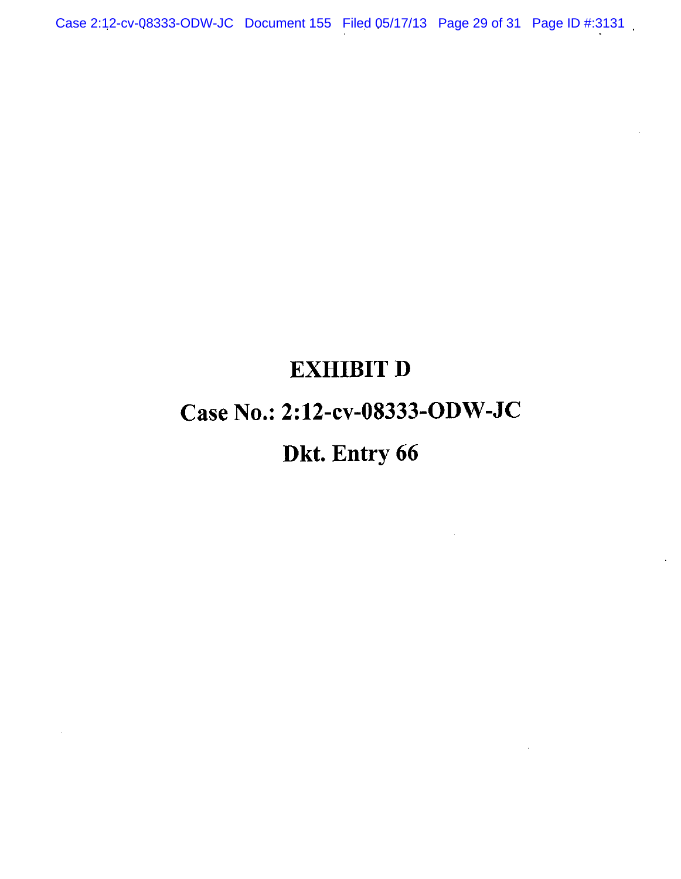Case 2:12-cv-08333-ODW-JC Document 155 Filed 05/17/13 Page 29 of 31 Page ID #:3131

### **EXHIBIT D**

### Case No.: 2:12-cv-08333-ODW-JC

### Dkt. Entry 66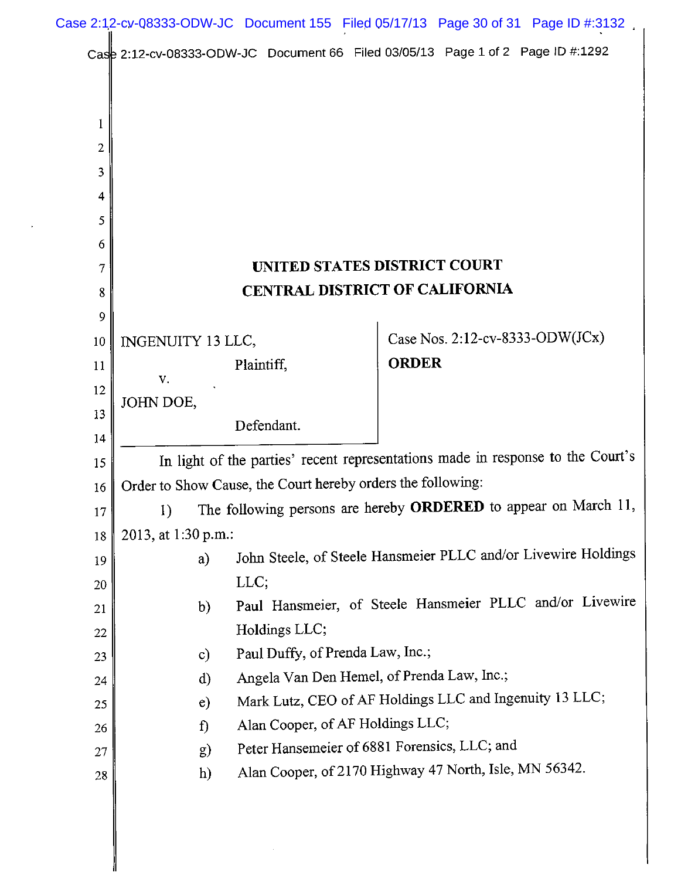|                     |                                                    |                                                             | Case 2:12-cv-08333-ODW-JC Document 155 Filed 05/17/13 Page 30 of 31 Page ID #:3132 |
|---------------------|----------------------------------------------------|-------------------------------------------------------------|------------------------------------------------------------------------------------|
|                     |                                                    |                                                             | Case 2:12-cv-08333-ODW-JC Document 66 Filed 03/05/13 Page 1 of 2 Page ID #:1292    |
|                     |                                                    |                                                             |                                                                                    |
|                     |                                                    |                                                             |                                                                                    |
| 1<br>$\overline{2}$ |                                                    |                                                             |                                                                                    |
| 3                   |                                                    |                                                             |                                                                                    |
| 4                   |                                                    |                                                             |                                                                                    |
| 5                   |                                                    |                                                             |                                                                                    |
| 6                   |                                                    |                                                             |                                                                                    |
| 7                   |                                                    |                                                             | UNITED STATES DISTRICT COURT                                                       |
| 8                   |                                                    |                                                             | <b>CENTRAL DISTRICT OF CALIFORNIA</b>                                              |
| 9                   |                                                    |                                                             |                                                                                    |
| 10                  | INGENUITY 13 LLC,                                  |                                                             | Case Nos. 2:12-cv-8333-ODW(JCx)                                                    |
| 11                  | V.                                                 | Plaintiff,                                                  | <b>ORDER</b>                                                                       |
| 12                  | JOHN DOE,                                          |                                                             |                                                                                    |
| 13                  |                                                    | Defendant.                                                  |                                                                                    |
| 14                  |                                                    |                                                             |                                                                                    |
| 15                  |                                                    |                                                             | In light of the parties' recent representations made in response to the Court's    |
| 16                  |                                                    | Order to Show Cause, the Court hereby orders the following: |                                                                                    |
| 17                  | 1)                                                 |                                                             | The following persons are hereby <b>ORDERED</b> to appear on March 11,             |
| 18                  | 2013, at 1:30 p.m.:                                |                                                             | John Steele, of Steele Hansmeier PLLC and/or Livewire Holdings                     |
| 19                  | a)                                                 | LLC;                                                        |                                                                                    |
| 20<br>21            | $\mathbf{b}$                                       |                                                             | Paul Hansmeier, of Steele Hansmeier PLLC and/or Livewire                           |
| 22                  |                                                    | Holdings LLC;                                               |                                                                                    |
| 23                  | c)                                                 | Paul Duffy, of Prenda Law, Inc.;                            |                                                                                    |
| 24                  | $\rm d$                                            | Angela Van Den Hemel, of Prenda Law, Inc.;                  |                                                                                    |
| 25                  | e)                                                 |                                                             | Mark Lutz, CEO of AF Holdings LLC and Ingenuity 13 LLC;                            |
| 26                  | f)                                                 | Alan Cooper, of AF Holdings LLC;                            |                                                                                    |
| 27                  | Peter Hansemeier of 6881 Forensics, LLC; and<br>g) |                                                             |                                                                                    |
| 28                  | h)                                                 |                                                             | Alan Cooper, of 2170 Highway 47 North, Isle, MN 56342.                             |
|                     |                                                    |                                                             |                                                                                    |